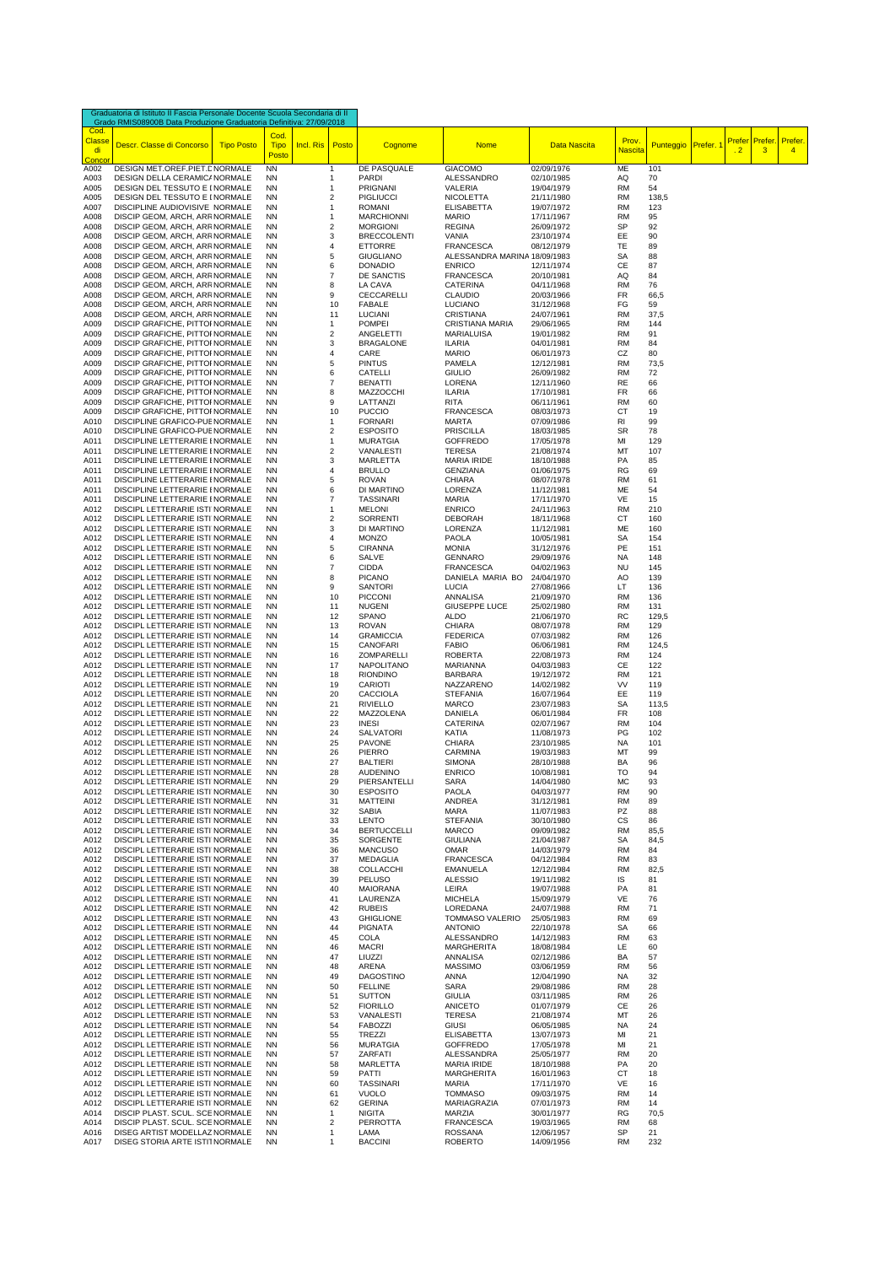| Graduatoria di Istituto II Fascia Personale Docente Scuola Secondaria di II<br>Grado RMIS08900B Data Produzione Graduatoria Definitiva: 27/09/2018 |                                                                    |                   |                              |                     |          |                                       |                                   |                          |                         |                  |         |                                                 |                          |
|----------------------------------------------------------------------------------------------------------------------------------------------------|--------------------------------------------------------------------|-------------------|------------------------------|---------------------|----------|---------------------------------------|-----------------------------------|--------------------------|-------------------------|------------------|---------|-------------------------------------------------|--------------------------|
| Cod.<br><b>Classe</b><br>di<br>Conco                                                                                                               | Descr. Classe di Concorso                                          | <b>Tipo Posto</b> | Cod.<br><b>Tipo</b><br>Posto | Incl. Ris Posto     |          | Cognome                               | <b>Nome</b>                       | Data Nascita             | Prov.<br><b>Nascita</b> | <b>Punteggio</b> | Prefer. | <b>Prefer</b><br>Prefer.<br>$\overline{2}$<br>3 | Prefer<br>$\overline{4}$ |
| A002                                                                                                                                               | DESIGN MET.OREF.PIET.E NORMALE                                     |                   | <b>NN</b>                    | 1                   |          | DE PASQUALE                           | <b>GIACOMO</b>                    | 02/09/1976               | ME                      | 101              |         |                                                 |                          |
| A003<br>A005                                                                                                                                       | DESIGN DELLA CERAMIC/ NORMALE<br>DESIGN DEL TESSUTO E I NORMALE    |                   | ΝN<br><b>NN</b>              | 1<br>1              |          | PARDI<br>PRIGNANI                     | ALESSANDRO<br>VALERIA             | 02/10/1985<br>19/04/1979 | AQ<br><b>RM</b>         | 70<br>54         |         |                                                 |                          |
| A005                                                                                                                                               | DESIGN DEL TESSUTO E I NORMALE                                     |                   | <b>NN</b>                    | $\sqrt{2}$          |          | <b>PIGLIUCCI</b>                      | <b>NICOLETTA</b>                  | 21/11/1980               | <b>RM</b>               | 138,5            |         |                                                 |                          |
| A007                                                                                                                                               | DISCIPLINE AUDIOVISIVE NORMALE                                     |                   | <b>NN</b>                    | 1                   |          | ROMANI                                | <b>ELISABETTA</b>                 | 19/07/1972               | RM                      | 123              |         |                                                 |                          |
| A008                                                                                                                                               | DISCIP GEOM, ARCH, ARF NORMALE                                     |                   | <b>NN</b>                    | 1                   |          | <b>MARCHIONNI</b>                     | <b>MARIO</b>                      | 17/11/1967               | <b>RM</b>               | 95               |         |                                                 |                          |
| A008<br>A008                                                                                                                                       | DISCIP GEOM, ARCH, ARF NORMALE<br>DISCIP GEOM, ARCH, ARF NORMALE   |                   | <b>NN</b><br><b>NN</b>       | $\sqrt{2}$<br>3     |          | <b>MORGIONI</b><br><b>BRECCOLENTI</b> | <b>REGINA</b><br>VANIA            | 26/09/1972<br>23/10/1974 | SP<br>EE                | 92<br>90         |         |                                                 |                          |
| A008                                                                                                                                               | DISCIP GEOM, ARCH, ARF NORMALE                                     |                   | <b>NN</b>                    | 4                   |          | <b>ETTORRE</b>                        | <b>FRANCESCA</b>                  | 08/12/1979               | TE                      | 89               |         |                                                 |                          |
| A008                                                                                                                                               | DISCIP GEOM, ARCH, ARF NORMALE                                     |                   | <b>NN</b>                    | 5                   |          | <b>GIUGLIANO</b>                      | ALESSANDRA MARINA 18/09/1983      |                          | SA                      | 88               |         |                                                 |                          |
| A008                                                                                                                                               | DISCIP GEOM, ARCH, ARF NORMALE                                     |                   | <b>NN</b>                    | 6                   |          | <b>DONADIO</b>                        | <b>ENRICO</b>                     | 12/11/1974               | СE                      | 87               |         |                                                 |                          |
| A008<br>A008                                                                                                                                       | DISCIP GEOM, ARCH, ARF NORMALE<br>DISCIP GEOM, ARCH, ARF NORMALE   |                   | <b>NN</b><br><b>NN</b>       | $\overline{7}$<br>8 |          | DE SANCTIS<br>LA CAVA                 | <b>FRANCESCA</b><br>CATERINA      | 20/10/1981<br>04/11/1968 | AQ<br><b>RM</b>         | 84<br>76         |         |                                                 |                          |
| A008                                                                                                                                               | DISCIP GEOM, ARCH, ARF NORMALE                                     |                   | <b>NN</b>                    | 9                   |          | CECCARELLI                            | <b>CLAUDIO</b>                    | 20/03/1966               | FR                      | 66,5             |         |                                                 |                          |
| A008                                                                                                                                               | DISCIP GEOM, ARCH, ARF NORMALE                                     |                   | <b>NN</b>                    |                     | 10       | <b>FABALE</b>                         | LUCIANO                           | 31/12/1968               | FG                      | 59               |         |                                                 |                          |
| A008                                                                                                                                               | DISCIP GEOM, ARCH, ARF NORMALE                                     |                   | <b>NN</b>                    |                     | 11       | <b>LUCIANI</b>                        | <b>CRISTIANA</b>                  | 24/07/1961               | <b>RM</b>               | 37,5             |         |                                                 |                          |
| A009                                                                                                                                               | DISCIP GRAFICHE, PITTOI NORMALE                                    |                   | <b>NN</b>                    | 1                   |          | <b>POMPEI</b>                         | <b>CRISTIANA MARIA</b>            | 29/06/1965               | RM                      | 144              |         |                                                 |                          |
| A009<br>A009                                                                                                                                       | DISCIP GRAFICHE, PITTOI NORMALE<br>DISCIP GRAFICHE, PITTOI NORMALE |                   | <b>NN</b><br><b>NN</b>       | $\sqrt{2}$<br>3     |          | ANGELETTI<br><b>BRAGALONE</b>         | MARIALUISA<br><b>ILARIA</b>       | 19/01/1982<br>04/01/1981 | RM<br><b>RM</b>         | 91<br>84         |         |                                                 |                          |
| A009                                                                                                                                               | DISCIP GRAFICHE, PITTOI NORMALE                                    |                   | <b>NN</b>                    | 4                   |          | CARE                                  | <b>MARIO</b>                      | 06/01/1973               | CZ                      | 80               |         |                                                 |                          |
| A009                                                                                                                                               | DISCIP GRAFICHE, PITTOI NORMALE                                    |                   | <b>NN</b>                    | 5                   |          | <b>PINTUS</b>                         | PAMELA                            | 12/12/1981               | RM                      | 73,5             |         |                                                 |                          |
| A009                                                                                                                                               | DISCIP GRAFICHE, PITTOI NORMALE                                    |                   | <b>NN</b>                    | 6                   |          | CATELLI                               | GIULIO                            | 26/09/1982               | RM                      | 72               |         |                                                 |                          |
| A009<br>A009                                                                                                                                       | DISCIP GRAFICHE, PITTOI NORMALE<br>DISCIP GRAFICHE, PITTOI NORMALE |                   | <b>NN</b><br><b>NN</b>       | $\overline{7}$<br>8 |          | <b>BENATTI</b><br><b>MAZZOCCHI</b>    | LORENA<br><b>ILARIA</b>           | 12/11/1960<br>17/10/1981 | RE<br>FR                | 66<br>66         |         |                                                 |                          |
| A009                                                                                                                                               | DISCIP GRAFICHE, PITTOI NORMALE                                    |                   | <b>NN</b>                    | 9                   |          | LATTANZI                              | <b>RITA</b>                       | 06/11/1961               | <b>RM</b>               | 60               |         |                                                 |                          |
| A009                                                                                                                                               | DISCIP GRAFICHE, PITTOI NORMALE                                    |                   | <b>NN</b>                    |                     | 10       | <b>PUCCIO</b>                         | <b>FRANCESCA</b>                  | 08/03/1973               | СT                      | 19               |         |                                                 |                          |
| A010                                                                                                                                               | DISCIPLINE GRAFICO-PUE NORMALE                                     |                   | <b>NN</b>                    | 1                   |          | <b>FORNARI</b>                        | <b>MARTA</b>                      | 07/09/1986               | RI                      | 99               |         |                                                 |                          |
| A010                                                                                                                                               | DISCIPLINE GRAFICO-PUE NORMALE                                     |                   | <b>NN</b><br><b>NN</b>       | $\sqrt{2}$          |          | <b>ESPOSITO</b>                       | <b>PRISCILLA</b>                  | 18/03/1985               | SR                      | 78               |         |                                                 |                          |
| A011<br>A011                                                                                                                                       | DISCIPLINE LETTERARIE I NORMALE<br>DISCIPLINE LETTERARIE I NORMALE |                   | <b>NN</b>                    | 1<br>$\sqrt{2}$     |          | <b>MURATGIA</b><br>VANALESTI          | GOFFREDO<br><b>TERESA</b>         | 17/05/1978<br>21/08/1974 | MI<br>MT                | 129<br>107       |         |                                                 |                          |
| A011                                                                                                                                               | DISCIPLINE LETTERARIE I NORMALE                                    |                   | <b>NN</b>                    | 3                   |          | <b>MARLETTA</b>                       | <b>MARIA IRIDE</b>                | 18/10/1988               | PA                      | 85               |         |                                                 |                          |
| A011                                                                                                                                               | DISCIPLINE LETTERARIE I NORMALE                                    |                   | <b>NN</b>                    | $\overline{4}$      |          | <b>BRULLO</b>                         | <b>GENZIANA</b>                   | 01/06/1975               | <b>RG</b>               | 69               |         |                                                 |                          |
| A011                                                                                                                                               | DISCIPLINE LETTERARIE I NORMALE                                    |                   | <b>NN</b>                    | 5                   |          | ROVAN                                 | CHIARA                            | 08/07/1978               | RM                      | 61               |         |                                                 |                          |
| A011                                                                                                                                               | DISCIPLINE LETTERARIE I NORMALE                                    |                   | <b>NN</b><br><b>NN</b>       | 6<br>$\overline{7}$ |          | DI MARTINO<br><b>TASSINARI</b>        | LORENZA                           | 11/12/1981               | ME<br>VE                | 54               |         |                                                 |                          |
| A011<br>A012                                                                                                                                       | DISCIPLINE LETTERARIE I NORMALE<br>DISCIPL LETTERARIE ISTI NORMALE |                   | <b>NN</b>                    | 1                   |          | <b>MELONI</b>                         | MARIA<br><b>ENRICO</b>            | 17/11/1970<br>24/11/1963 | RM                      | 15<br>210        |         |                                                 |                          |
| A012                                                                                                                                               | DISCIPL LETTERARIE ISTI NORMALE                                    |                   | <b>NN</b>                    | $\overline{2}$      |          | SORRENTI                              | <b>DEBORAH</b>                    | 18/11/1968               | СT                      | 160              |         |                                                 |                          |
| A012                                                                                                                                               | DISCIPL LETTERARIE ISTI NORMALE                                    |                   | <b>NN</b>                    | 3                   |          | DI MARTINO                            | LORENZA                           | 11/12/1981               | ME                      | 160              |         |                                                 |                          |
| A012                                                                                                                                               | DISCIPL LETTERARIE ISTI NORMALE                                    |                   | <b>NN</b>                    | 4                   |          | <b>MONZO</b>                          | <b>PAOLA</b>                      | 10/05/1981               | SA                      | 154              |         |                                                 |                          |
| A012<br>A012                                                                                                                                       | DISCIPL LETTERARIE ISTI NORMALE<br>DISCIPL LETTERARIE ISTI NORMALE |                   | <b>NN</b><br><b>NN</b>       | 5<br>6              |          | <b>CIRANNA</b><br>SALVE               | <b>MONIA</b><br><b>GENNARO</b>    | 31/12/1976               | PE<br><b>NA</b>         | 151<br>148       |         |                                                 |                          |
| A012                                                                                                                                               | DISCIPL LETTERARIE ISTI NORMALE                                    |                   | <b>NN</b>                    | $\overline{7}$      |          | <b>CIDDA</b>                          | <b>FRANCESCA</b>                  | 29/09/1976<br>04/02/1963 | <b>NU</b>               | 145              |         |                                                 |                          |
| A012                                                                                                                                               | DISCIPL LETTERARIE ISTI NORMALE                                    |                   | <b>NN</b>                    | 8                   |          | <b>PICANO</b>                         | DANIELA MARIA BO                  | 24/04/1970               | AO                      | 139              |         |                                                 |                          |
| A012                                                                                                                                               | DISCIPL LETTERARIE ISTI NORMALE                                    |                   | <b>NN</b>                    | 9                   |          | <b>SANTORI</b>                        | <b>LUCIA</b>                      | 27/08/1966               | LT                      | 136              |         |                                                 |                          |
| A012                                                                                                                                               | DISCIPL LETTERARIE ISTI NORMALE                                    |                   | <b>NN</b>                    |                     | 10       | <b>PICCONI</b>                        | ANNALISA                          | 21/09/1970               | RM                      | 136              |         |                                                 |                          |
| A012<br>A012                                                                                                                                       | DISCIPL LETTERARIE ISTI NORMALE<br>DISCIPL LETTERARIE ISTI NORMALE |                   | <b>NN</b><br><b>NN</b>       |                     | 11<br>12 | <b>NUGENI</b><br>SPANO                | <b>GIUSEPPE LUCE</b><br>ALDO      | 25/02/1980<br>21/06/1970 | RM<br>RC                | 131<br>129,5     |         |                                                 |                          |
| A012                                                                                                                                               | DISCIPL LETTERARIE ISTI NORMALE                                    |                   | <b>NN</b>                    |                     | 13       | ROVAN                                 | CHIARA                            | 08/07/1978               | RM                      | 129              |         |                                                 |                          |
| A012                                                                                                                                               | DISCIPL LETTERARIE ISTI NORMALE                                    |                   | <b>NN</b>                    |                     | 14       | <b>GRAMICCIA</b>                      | <b>FEDERICA</b>                   | 07/03/1982               | RM                      | 126              |         |                                                 |                          |
| A012                                                                                                                                               | DISCIPL LETTERARIE ISTI NORMALE                                    |                   | <b>NN</b>                    |                     | 15       | CANOFARI                              | <b>FABIO</b>                      | 06/06/1981               | <b>RM</b>               | 124,5            |         |                                                 |                          |
| A012                                                                                                                                               | DISCIPL LETTERARIE ISTI NORMALE                                    |                   | <b>NN</b>                    |                     | 16       | ZOMPARELLI                            | <b>ROBERTA</b>                    | 22/08/1973               | <b>RM</b>               | 124              |         |                                                 |                          |
| A012<br>A012                                                                                                                                       | DISCIPL LETTERARIE ISTI NORMALE<br>DISCIPL LETTERARIE ISTI NORMALE |                   | <b>NN</b><br><b>NN</b>       |                     | 17<br>18 | NAPOLITANO<br><b>RIONDINO</b>         | MARIANNA<br><b>BARBARA</b>        | 04/03/1983<br>19/12/1972 | CЕ<br>RM                | 122<br>121       |         |                                                 |                          |
| A012                                                                                                                                               | DISCIPL LETTERARIE ISTI NORMALE                                    |                   | <b>NN</b>                    |                     | 19       | CARIOTI                               | NAZZARENO                         | 14/02/1982               | VV                      | 119              |         |                                                 |                          |
| A012                                                                                                                                               | DISCIPL LETTERARIE ISTI NORMALE                                    |                   | <b>NN</b>                    |                     | 20       | CACCIOLA                              | <b>STEFANIA</b>                   | 16/07/1964               | EE                      | 119              |         |                                                 |                          |
| A012                                                                                                                                               | DISCIPL LETTERARIE ISTI NORMALE                                    |                   | <b>NN</b><br><b>NN</b>       |                     | 21<br>22 | <b>RIVIELLO</b>                       | <b>MARCO</b>                      | 23/07/1983               | SA<br>FR                | 113,5            |         |                                                 |                          |
| A012<br>A012                                                                                                                                       | DISCIPL LETTERARIE ISTI NORMALE<br>DISCIPL LETTERARIE ISTI NORMALE |                   | <b>NN</b>                    |                     | 23       | MAZZOLENA<br><b>INESI</b>             | DANIELA<br>CATERINA               | 06/01/1984<br>02/07/1967 | RM                      | 108<br>104       |         |                                                 |                          |
| A012                                                                                                                                               | DISCIPL LETTERARIE ISTI NORMALE                                    |                   | <b>NN</b>                    |                     | 24       | <b>SALVATORI</b>                      | KATIA                             | 11/08/1973               | PG                      | 102              |         |                                                 |                          |
| A012                                                                                                                                               | DISCIPL LETTERARIE ISTI NORMALE                                    |                   | <b>NN</b>                    |                     | 25       | <b>PAVONE</b>                         | CHIARA                            | 23/10/1985               | NA                      | 101              |         |                                                 |                          |
| A012                                                                                                                                               | DISCIPL LETTERARIE ISTI NORMALE                                    |                   | <b>NN</b>                    |                     | 26       | PIERRO                                | CARMINA                           | 19/03/1983               | MT                      | 99               |         |                                                 |                          |
| A012<br>A012                                                                                                                                       | DISCIPL LETTERARIE ISTI NORMALE<br>DISCIPL LETTERARIE ISTI NORMALE |                   | <b>NN</b><br><b>NN</b>       |                     | 27<br>28 | <b>BALTIERI</b><br><b>AUDENINO</b>    | <b>SIMONA</b><br><b>ENRICO</b>    | 28/10/1988<br>10/08/1981 | BA<br><b>TO</b>         | 96<br>94         |         |                                                 |                          |
| A012                                                                                                                                               | DISCIPL LETTERARIE ISTI NORMALE                                    |                   | <b>NN</b>                    |                     | 29       | PIERSANTELLI                          | SARA                              | 14/04/1980               | МC                      | 93               |         |                                                 |                          |
| A012                                                                                                                                               | DISCIPL LETTERARIE ISTI NORMALE                                    |                   | <b>NN</b>                    |                     | 30       | <b>ESPOSITO</b>                       | PAOLA                             | 04/03/1977               | <b>RM</b>               | 90               |         |                                                 |                          |
| A012                                                                                                                                               | DISCIPL LETTERARIE ISTI NORMALE                                    |                   | <b>NN</b>                    |                     | 31       | <b>MATTEINI</b>                       | <b>ANDREA</b>                     | 31/12/1981               | <b>RM</b>               | 89               |         |                                                 |                          |
| A012                                                                                                                                               | DISCIPL LETTERARIE ISTI NORMALE<br>DISCIPL LETTERARIE ISTI NORMALE |                   | <b>NN</b><br><b>NN</b>       |                     | 32<br>33 | SABIA                                 | MARA<br><b>STEFANIA</b>           | 11/07/1983<br>30/10/1980 | PZ<br>CS                | 88               |         |                                                 |                          |
| A012<br>A012                                                                                                                                       | DISCIPL LETTERARIE ISTI NORMALE                                    |                   | <b>NN</b>                    |                     | 34       | <b>LENTO</b><br><b>BERTUCCELLI</b>    | <b>MARCO</b>                      | 09/09/1982               | <b>RM</b>               | 86<br>85,5       |         |                                                 |                          |
| A012                                                                                                                                               | DISCIPL LETTERARIE ISTI NORMALE                                    |                   | <b>NN</b>                    |                     | 35       | SORGENTE                              | <b>GIULIANA</b>                   | 21/04/1987               | SA                      | 84,5             |         |                                                 |                          |
| A012                                                                                                                                               | DISCIPL LETTERARIE ISTI NORMALE                                    |                   | <b>NN</b>                    |                     | 36       | <b>MANCUSO</b>                        | OMAR                              | 14/03/1979               | <b>RM</b>               | 84               |         |                                                 |                          |
| A012                                                                                                                                               | DISCIPL LETTERARIE ISTI NORMALE                                    |                   | <b>NN</b>                    |                     | 37       | <b>MEDAGLIA</b>                       | <b>FRANCESCA</b>                  | 04/12/1984               | <b>RM</b>               | 83               |         |                                                 |                          |
| A012<br>A012                                                                                                                                       | DISCIPL LETTERARIE ISTI NORMALE<br>DISCIPL LETTERARIE ISTI NORMALE |                   | <b>NN</b><br><b>NN</b>       |                     | 38<br>39 | COLLACCHI<br><b>PELUSO</b>            | <b>EMANUELA</b><br><b>ALESSIO</b> | 12/12/1984<br>19/11/1982 | RM<br>IS                | 82,5<br>81       |         |                                                 |                          |
| A012                                                                                                                                               | DISCIPL LETTERARIE ISTI NORMALE                                    |                   | <b>NN</b>                    |                     | 40       | <b>MAIORANA</b>                       | LEIRA                             | 19/07/1988               | PA                      | 81               |         |                                                 |                          |
| A012                                                                                                                                               | DISCIPL LETTERARIE ISTI NORMALE                                    |                   | <b>NN</b>                    |                     | 41       | LAURENZA                              | <b>MICHELA</b>                    | 15/09/1979               | VE                      | 76               |         |                                                 |                          |
| A012                                                                                                                                               | DISCIPL LETTERARIE ISTI NORMALE                                    |                   | <b>NN</b>                    |                     | 42       | <b>RUBEIS</b>                         | LOREDANA                          | 24/07/1988               | RM                      | 71               |         |                                                 |                          |
| A012<br>A012                                                                                                                                       | DISCIPL LETTERARIE ISTI NORMALE<br>DISCIPL LETTERARIE ISTI NORMALE |                   | <b>NN</b><br><b>NN</b>       |                     | 43<br>44 | <b>GHIGLIONE</b><br><b>PIGNATA</b>    | TOMMASO VALERIO<br><b>ANTONIO</b> | 25/05/1983<br>22/10/1978 | <b>RM</b><br>SA         | 69<br>66         |         |                                                 |                          |
| A012                                                                                                                                               | DISCIPL LETTERARIE ISTI NORMALE                                    |                   | <b>NN</b>                    |                     | 45       | COLA                                  | ALESSANDRO                        | 14/12/1983               | RM                      | 63               |         |                                                 |                          |
| A012                                                                                                                                               | DISCIPL LETTERARIE ISTI NORMALE                                    |                   | <b>NN</b>                    |                     | 46       | <b>MACRI</b>                          | MARGHERITA                        | 18/08/1984               | LE                      | 60               |         |                                                 |                          |
| A012                                                                                                                                               | DISCIPL LETTERARIE ISTI NORMALE                                    |                   | <b>NN</b>                    |                     | 47       | LIUZZI                                | ANNALISA                          | 02/12/1986               | BA                      | 57               |         |                                                 |                          |
| A012<br>A012                                                                                                                                       | DISCIPL LETTERARIE ISTI NORMALE<br>DISCIPL LETTERARIE ISTI NORMALE |                   | <b>NN</b><br><b>NN</b>       |                     | 48<br>49 | ARENA<br><b>DAGOSTINO</b>             | <b>MASSIMO</b><br>ANNA            | 03/06/1959<br>12/04/1990 | RM<br>NA                | 56<br>32         |         |                                                 |                          |
| A012                                                                                                                                               | DISCIPL LETTERARIE ISTI NORMALE                                    |                   | <b>NN</b>                    |                     | 50       | <b>FELLINE</b>                        | SARA                              | 29/08/1986               | <b>RM</b>               | 28               |         |                                                 |                          |
| A012                                                                                                                                               | DISCIPL LETTERARIE ISTI NORMALE                                    |                   | <b>NN</b>                    |                     | 51       | <b>SUTTON</b>                         | <b>GIULIA</b>                     | 03/11/1985               | RM                      | 26               |         |                                                 |                          |
| A012                                                                                                                                               | DISCIPL LETTERARIE ISTI NORMALE                                    |                   | <b>NN</b>                    |                     | 52       | <b>FIORILLO</b>                       | <b>ANICETO</b>                    | 01/07/1979               | СE                      | 26               |         |                                                 |                          |
| A012                                                                                                                                               | DISCIPL LETTERARIE ISTI NORMALE                                    |                   | <b>NN</b>                    |                     | 53       | VANALESTI                             | <b>TERESA</b>                     | 21/08/1974               | MT                      | 26               |         |                                                 |                          |
| A012<br>A012                                                                                                                                       | DISCIPL LETTERARIE ISTI NORMALE<br>DISCIPL LETTERARIE ISTI NORMALE |                   | <b>NN</b><br><b>NN</b>       |                     | 54<br>55 | FABOZZI<br><b>TREZZI</b>              | GIUSI<br><b>ELISABETTA</b>        | 06/05/1985<br>13/07/1973 | NA<br>MI                | 24<br>21         |         |                                                 |                          |
| A012                                                                                                                                               | DISCIPL LETTERARIE ISTI NORMALE                                    |                   | <b>NN</b>                    |                     | 56       | <b>MURATGIA</b>                       | <b>GOFFREDO</b>                   | 17/05/1978               | MI                      | 21               |         |                                                 |                          |
| A012                                                                                                                                               | DISCIPL LETTERARIE ISTI NORMALE                                    |                   | <b>NN</b>                    |                     | 57       | ZARFATI                               | ALESSANDRA                        | 25/05/1977               | RM                      | 20               |         |                                                 |                          |
| A012                                                                                                                                               | DISCIPL LETTERARIE ISTI NORMALE                                    |                   | <b>NN</b>                    |                     | 58       | MARLETTA                              | <b>MARIA IRIDE</b>                | 18/10/1988               | PA                      | 20               |         |                                                 |                          |
| A012                                                                                                                                               | DISCIPL LETTERARIE ISTI NORMALE                                    |                   | <b>NN</b>                    |                     | 59       | PATTI                                 | <b>MARGHERITA</b>                 | 16/01/1963               | СT                      | 18               |         |                                                 |                          |
| A012<br>A012                                                                                                                                       | DISCIPL LETTERARIE ISTI NORMALE<br>DISCIPL LETTERARIE ISTI NORMALE |                   | <b>NN</b><br><b>NN</b>       |                     | 60<br>61 | <b>TASSINARI</b><br><b>VUOLO</b>      | MARIA<br><b>TOMMASO</b>           | 17/11/1970<br>09/03/1975 | VE<br><b>RM</b>         | 16<br>14         |         |                                                 |                          |
| A012                                                                                                                                               | DISCIPL LETTERARIE ISTI NORMALE                                    |                   | <b>NN</b>                    |                     | 62       | <b>GERINA</b>                         | MARIAGRAZIA                       | 07/01/1973               | <b>RM</b>               | 14               |         |                                                 |                          |
| A014                                                                                                                                               | DISCIP PLAST. SCUL. SCE NORMALE                                    |                   | <b>NN</b>                    | -1                  |          | <b>NIGITA</b>                         | MARZIA                            | 30/01/1977               | RG                      | 70,5             |         |                                                 |                          |
| A014                                                                                                                                               | DISCIP PLAST. SCUL. SCE NORMALE                                    |                   | <b>NN</b>                    | $\overline{2}$      |          | PERROTTA                              | <b>FRANCESCA</b>                  | 19/03/1965               | <b>RM</b>               | 68               |         |                                                 |                          |
| A016<br>A017                                                                                                                                       | DISEG ARTIST MODELLAZ NORMALE<br>DISEG STORIA ARTE ISTI1 NORMALE   |                   | <b>NN</b><br><b>NN</b>       | $\mathbf{1}$<br>1   |          | LAMA<br><b>BACCINI</b>                | ROSSANA<br><b>ROBERTO</b>         | 12/06/1957<br>14/09/1956 | SP<br><b>RM</b>         | 21<br>232        |         |                                                 |                          |
|                                                                                                                                                    |                                                                    |                   |                              |                     |          |                                       |                                   |                          |                         |                  |         |                                                 |                          |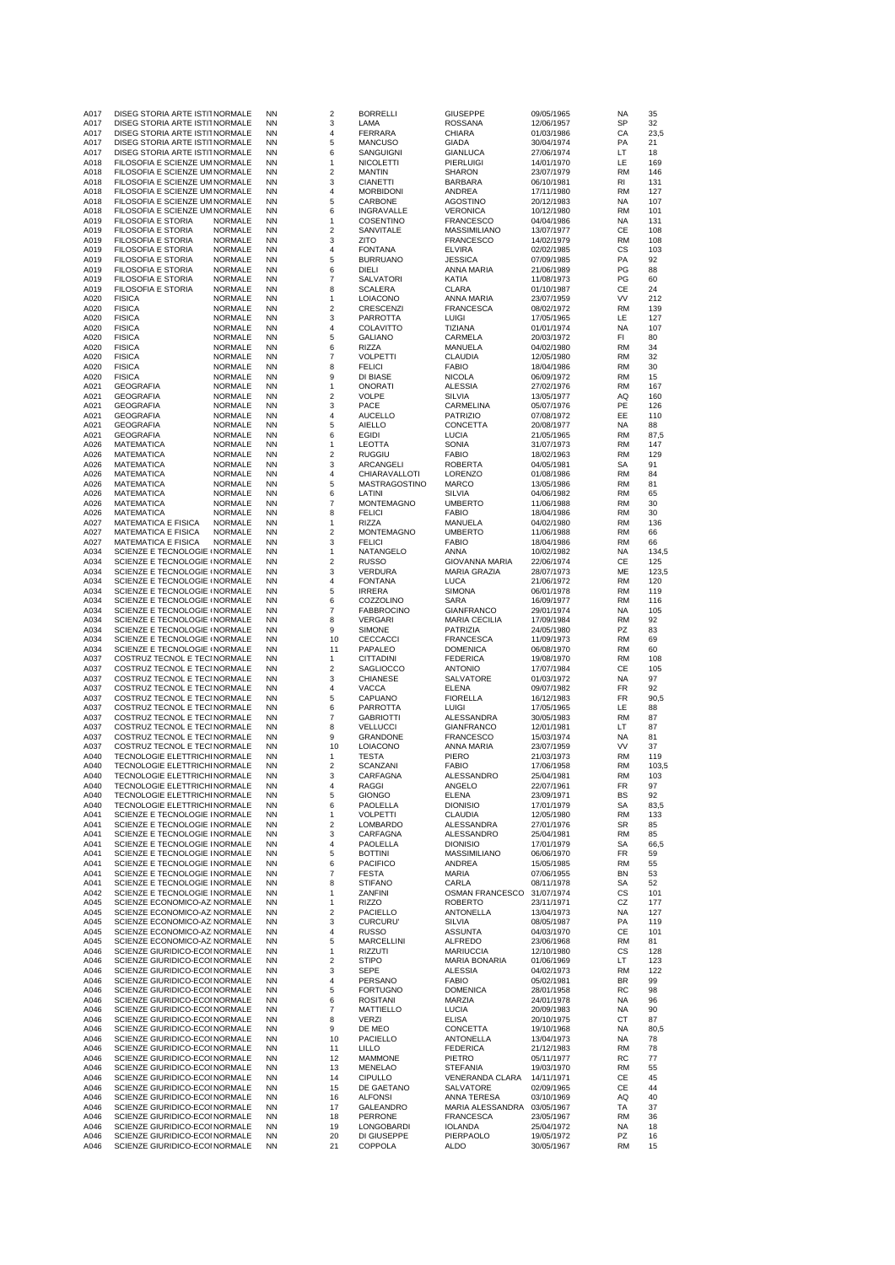| A017 | DISEG STORIA ARTE ISTI1 NORMALE          |                | ΝN        | $\overline{\mathbf{c}}$   | <b>BORRELLI</b>   | <b>GIUSEPPE</b>                    | 09/05/1965 | NA        | 35    |
|------|------------------------------------------|----------------|-----------|---------------------------|-------------------|------------------------------------|------------|-----------|-------|
| A017 | DISEG STORIA ARTE ISTI1 NORMALE          |                | <b>NN</b> | 3                         | LAMA              | ROSSANA                            | 12/06/1957 | SP        | 32    |
| A017 | DISEG STORIA ARTE ISTI1 NORMALE          |                | ΝN        | 4                         | <b>FERRARA</b>    | CHIARA                             | 01/03/1986 | CА        | 23,5  |
| A017 | DISEG STORIA ARTE ISTI1 NORMALE          |                | ΝN        | 5                         | <b>MANCUSO</b>    | GIADA                              | 30/04/1974 | PA        | 21    |
| A017 | DISEG STORIA ARTE ISTI1 NORMALE          |                | <b>NN</b> | 6                         | SANGUIGNI         | <b>GIANLUCA</b>                    | 27/06/1974 | LT        | 18    |
| A018 | FILOSOFIA E SCIENZE UM NORMALE           |                | ΝN        | 1                         | <b>NICOLETTI</b>  | PIERLUIGI                          | 14/01/1970 | LE        | 169   |
| A018 | FILOSOFIA E SCIENZE UM NORMALE           |                | ΝN        | $\overline{\mathbf{c}}$   | <b>MANTIN</b>     | <b>SHARON</b>                      | 23/07/1979 | <b>RM</b> | 146   |
| A018 | FILOSOFIA E SCIENZE UM NORMALE           |                | <b>NN</b> | 3                         | <b>CIANETTI</b>   | <b>BARBARA</b>                     | 06/10/1981 | RI        | 131   |
| A018 | FILOSOFIA E SCIENZE UM NORMALE           |                | <b>NN</b> | 4                         | <b>MORBIDONI</b>  | ANDREA                             | 17/11/1980 | <b>RM</b> | 127   |
| A018 | FILOSOFIA E SCIENZE UM NORMALE           |                | <b>NN</b> | 5                         | CARBONE           | AGOSTINO                           | 20/12/1983 | NA        | 107   |
| A018 |                                          |                | <b>NN</b> | 6                         |                   |                                    |            | RM        | 101   |
|      | FILOSOFIA E SCIENZE UM NORMALE           |                |           |                           | INGRAVALLE        | <b>VERONICA</b>                    | 10/12/1980 |           |       |
| A019 | FILOSOFIA E STORIA                       | NORMALE        | ΝN        | 1                         | COSENTINO         | <b>FRANCESCO</b>                   | 04/04/1986 | NA        | 131   |
| A019 | <b>FILOSOFIA E STORIA</b>                | <b>NORMALE</b> | NN        | 2                         | SANVITALE         | <b>MASSIMILIANO</b>                | 13/07/1977 | СE        | 108   |
| A019 | FILOSOFIA E STORIA                       | <b>NORMALE</b> | <b>NN</b> | 3                         | ZITO              | <b>FRANCESCO</b>                   | 14/02/1979 | <b>RM</b> | 108   |
| A019 | FILOSOFIA E STORIA                       | NORMALE        | <b>NN</b> | 4                         | <b>FONTANA</b>    | <b>ELVIRA</b>                      | 02/02/1985 | CS        | 103   |
| A019 | <b>FILOSOFIA E STORIA</b>                | NORMALE        | ΝN        | 5                         | <b>BURRUANO</b>   | <b>JESSICA</b>                     | 07/09/1985 | PA        | 92    |
| A019 | FILOSOFIA E STORIA                       | <b>NORMALE</b> | <b>NN</b> | 6                         | DIELI             | ANNA MARIA                         | 21/06/1989 | PG        | 88    |
| A019 | <b>FILOSOFIA E STORIA</b>                | NORMALE        | ΝN        | $\overline{\mathfrak{c}}$ | SALVATORI         | KATIA                              | 11/08/1973 | PG        | 60    |
| A019 | <b>FILOSOFIA E STORIA</b>                | NORMALE        | ΝN        | 8                         | <b>SCALERA</b>    | <b>CLARA</b>                       | 01/10/1987 | CЕ        | 24    |
| A020 | <b>FISICA</b>                            | <b>NORMALE</b> | <b>NN</b> | 1                         | LOIACONO          | ANNA MARIA                         | 23/07/1959 | VV        | 212   |
| A020 | <b>FISICA</b>                            | <b>NORMALE</b> | <b>NN</b> | $\overline{\mathbf{c}}$   | <b>CRESCENZI</b>  | <b>FRANCESCA</b>                   | 08/02/1972 | <b>RM</b> | 139   |
| A020 | <b>FISICA</b>                            | <b>NORMALE</b> | ΝN        | 3                         | PARROTTA          | <b>LUIGI</b>                       | 17/05/1965 | LE        | 127   |
|      | <b>FISICA</b>                            |                |           | 4                         | <b>COLAVITTO</b>  |                                    |            |           | 107   |
| A020 |                                          | NORMALE        | ΝN        |                           |                   | TIZIANA                            | 01/01/1974 | NA        |       |
| A020 | <b>FISICA</b>                            | NORMALE        | <b>NN</b> | 5                         | <b>GALIANO</b>    | CARMELA                            | 20/03/1972 | FI        | 80    |
| A020 | <b>FISICA</b>                            | NORMALE        | ΝN        | 6                         | RIZZA             | MANUELA                            | 04/02/1980 | RM        | 34    |
| A020 | <b>FISICA</b>                            | NORMALE        | ΝN        | 7                         | <b>VOLPETTI</b>   | <b>CLAUDIA</b>                     | 12/05/1980 | RM        | 32    |
| A020 | <b>FISICA</b>                            | NORMALE        | <b>NN</b> | 8                         | <b>FELICI</b>     | <b>FABIO</b>                       | 18/04/1986 | <b>RM</b> | 30    |
| A020 | <b>FISICA</b>                            | NORMALE        | ΝN        | 9                         | DI BIASE          | <b>NICOLA</b>                      | 06/09/1972 | RM        | 15    |
| A021 | <b>GEOGRAFIA</b>                         | NORMALE        | ΝN        | 1                         | <b>ONORATI</b>    | <b>ALESSIA</b>                     | 27/02/1976 | RM        | 167   |
| A021 | <b>GEOGRAFIA</b>                         | NORMALE        | <b>NN</b> | $\mathbf 2$               | <b>VOLPE</b>      | <b>SILVIA</b>                      | 13/05/1977 | AQ        | 160   |
| A021 | <b>GEOGRAFIA</b>                         | NORMALE        | ΝN        | 3                         | PACE              | CARMELINA                          | 05/07/1976 | PE        | 126   |
| A021 | <b>GEOGRAFIA</b>                         | NORMALE        | ΝN        | 4                         | <b>AUCELLO</b>    | <b>PATRIZIO</b>                    | 07/08/1972 | EE        | 110   |
| A021 | <b>GEOGRAFIA</b>                         | <b>NORMALE</b> | <b>NN</b> | 5                         | <b>AIELLO</b>     | CONCETTA                           | 20/08/1977 | <b>NA</b> | 88    |
| A021 |                                          | <b>NORMALE</b> | ΝN        | 6                         | EGIDI             |                                    |            | RM        | 87,5  |
|      | <b>GEOGRAFIA</b>                         |                |           |                           |                   | <b>LUCIA</b>                       | 21/05/1965 |           |       |
| A026 | <b>MATEMATICA</b>                        | <b>NORMALE</b> | ΝN        | 1                         | <b>LEOTTA</b>     | SONIA                              | 31/07/1973 | RM        | 147   |
| A026 | <b>MATEMATICA</b>                        | <b>NORMALE</b> | <b>NN</b> | $\overline{\mathbf{c}}$   | <b>RUGGIU</b>     | <b>FABIO</b>                       | 18/02/1963 | RM        | 129   |
| A026 | <b>MATEMATICA</b>                        | <b>NORMALE</b> | ΝN        | 3                         | ARCANGELI         | <b>ROBERTA</b>                     | 04/05/1981 | SА        | 91    |
| A026 | <b>MATEMATICA</b>                        | NORMALE        | ΝN        | 4                         | CHIARAVALLOTI     | <b>LORENZO</b>                     | 01/08/1986 | RM        | 84    |
| A026 | <b>MATEMATICA</b>                        | <b>NORMALE</b> | <b>NN</b> | 5                         | MASTRAGOSTINO     | <b>MARCO</b>                       | 13/05/1986 | RM        | 81    |
| A026 | MATEMATICA                               | NORMALE        | ΝN        | 6                         | LATINI            | SILVIA                             | 04/06/1982 | RM        | 65    |
| A026 | <b>MATEMATICA</b>                        | <b>NORMALE</b> | ΝN        | 7                         | <b>MONTEMAGNO</b> | <b>UMBERTO</b>                     | 11/06/1988 | <b>RM</b> | 30    |
| A026 | <b>MATEMATICA</b>                        | NORMALE        | <b>NN</b> | 8                         | <b>FELICI</b>     | <b>FABIO</b>                       | 18/04/1986 | <b>RM</b> | 30    |
| A027 | <b>MATEMATICA E FISICA</b>               | NORMALE        | ΝN        | 1                         | RIZZA             | MANUELA                            | 04/02/1980 | RM        | 136   |
| A027 | <b>MATEMATICA E FISICA</b>               | <b>NORMALE</b> | ΝN        | 2                         | <b>MONTEMAGNO</b> | <b>UMBERTO</b>                     | 11/06/1988 | RM        | 66    |
| A027 | <b>MATEMATICA E FISICA</b>               | <b>NORMALE</b> | <b>NN</b> | 3                         | <b>FELICI</b>     | <b>FABIO</b>                       | 18/04/1986 | RM        | 66    |
|      |                                          |                | <b>NN</b> |                           |                   |                                    |            |           |       |
| A034 | SCIENZE E TECNOLOGIE I NORMALE           |                |           | 1                         | NATANGELO         | ANNA                               | 10/02/1982 | ΝA        | 134,5 |
| A034 | SCIENZE E TECNOLOGIE I NORMALE           |                | ΝN        | $\overline{\mathbf{c}}$   | <b>RUSSO</b>      | <b>GIOVANNA MARIA</b>              | 22/06/1974 | CЕ        | 125   |
| A034 | SCIENZE E TECNOLOGIE I NORMALE           |                | <b>NN</b> | 3                         | VERDURA           | <b>MARIA GRAZIA</b>                | 28/07/1973 | ME        | 123,5 |
| A034 | SCIENZE E TECNOLOGIE I NORMALE           |                | <b>NN</b> | 4                         | <b>FONTANA</b>    | <b>LUCA</b>                        | 21/06/1972 | <b>RM</b> | 120   |
| A034 | SCIENZE E TECNOLOGIE I NORMALE           |                | ΝN        | 5                         | <b>IRRERA</b>     | <b>SIMONA</b>                      | 06/01/1978 | RM        | 119   |
| A034 | SCIENZE E TECNOLOGIE I NORMALE           |                | <b>NN</b> | 6                         | COZZOLINO         | <b>SARA</b>                        | 16/09/1977 | RM        | 116   |
| A034 | SCIENZE E TECNOLOGIE I NORMALE           |                | <b>NN</b> | 7                         | <b>FABBROCINO</b> | <b>GIANFRANCO</b>                  | 29/01/1974 | NA        | 105   |
| A034 | SCIENZE E TECNOLOGIE I NORMALE           |                | ΝN        | 8                         | <b>VERGARI</b>    | <b>MARIA CECILIA</b>               | 17/09/1984 | RM        | 92    |
| A034 | SCIENZE E TECNOLOGIE I NORMALE           |                | <b>NN</b> | 9                         | <b>SIMONE</b>     | PATRIZIA                           | 24/05/1980 | PZ        | 83    |
| A034 | SCIENZE E TECNOLOGIE I NORMALE           |                | <b>NN</b> | 10                        | CECCACCI          | <b>FRANCESCA</b>                   | 11/09/1973 | <b>RM</b> | 69    |
| A034 | SCIENZE E TECNOLOGIE I NORMALE           |                | ΝN        | 11                        | PAPALEO           | <b>DOMENICA</b>                    | 06/08/1970 | RM        | 60    |
| A037 |                                          |                | ΝN        | 1                         | <b>CITTADINI</b>  | <b>FEDERICA</b>                    |            | RM        | 108   |
|      | COSTRUZ TECNOL E TECI NORMALE            |                |           |                           |                   |                                    | 19/08/1970 |           |       |
| A037 | COSTRUZ TECNOL E TECI NORMALE            |                | <b>NN</b> | $\overline{\mathbf{c}}$   | SAGLIOCCO         | <b>ANTONIO</b>                     | 17/07/1984 | СE        | 105   |
| A037 | COSTRUZ TECNOL E TECI NORMALE            |                | ΝN        | 3                         | <b>CHIANESE</b>   | SALVATORE                          | 01/03/1972 | NA        | 97    |
| A037 | COSTRUZ TECNOL E TECI NORMALE            |                | ΝN        | 4                         | <b>VACCA</b>      | ELENA                              | 09/07/1982 | FR        | 92    |
| A037 | COSTRUZ TECNOL E TECI NORMALE            |                | NN        | 5                         | CAPUANO           | <b>FIORELLA</b>                    | 16/12/1983 | FR        | 90,5  |
| A037 | COSTRUZ TECNOL E TECI NORMALE            |                | ΝN        | 6                         | PARROTTA          | <b>LUIGI</b>                       | 17/05/1965 | LE        | 88    |
| A037 | COSTRUZ TECNOL E TECI NORMALE            |                | ΝN        | 7                         | <b>GABRIOTTI</b>  | ALESSANDRA                         | 30/05/1983 | RM        | 87    |
| A037 | COSTRUZ TECNOL E TECI NORMALE            |                | <b>NN</b> | 8                         | <b>VELLUCCI</b>   | <b>GIANFRANCO</b>                  | 12/01/1981 | LT        | 87    |
| A037 | COSTRUZ TECNOL E TECI NORMALE            |                | ΝN        | 9                         | <b>GRANDONE</b>   | <b>FRANCESCO</b>                   | 15/03/1974 | NA        | 81    |
| A037 |                                          |                | ΝN        | 10                        | <b>LOIACONO</b>   | ANNA MARIA                         | 23/07/1959 | ٧V        | 37    |
| A040 |                                          |                |           |                           |                   |                                    |            |           |       |
|      | COSTRUZ TECNOL E TECI NORMALE            |                |           |                           |                   |                                    |            |           |       |
|      | TECNOLOGIE ELETTRICHI NORMALE            |                | NN        | 1                         | <b>TESTA</b>      | PIERO                              | 21/03/1973 | <b>RM</b> | 119   |
| A040 | TECNOLOGIE ELETTRICHI NORMALE            |                | ΝN        | $\overline{\mathbf{c}}$   | SCANZANI          | <b>FABIO</b>                       | 17/06/1958 | RM        | 103,5 |
| A040 | TECNOLOGIE ELETTRICHI NORMALE            |                | <b>NN</b> | 3                         | CARFAGNA          | ALESSANDRO                         | 25/04/1981 | RM        | 103   |
| A040 | <b>I ECNOLOGIE ELE I I RICHI NORMALE</b> |                | NN        | 4                         | RAGGI             | ANGELU                             | 22/07/1961 | нκ        | 97    |
| A040 | TECNOLOGIE ELETTRICHI NORMALE            |                | ΝN        | 5                         | <b>GIONGO</b>     | ELENA                              | 23/09/1971 | BS        | 92    |
| A040 | TECNOLOGIE ELETTRICHI NORMALE            |                | ΝN        | 6                         | PAOLELLA          | <b>DIONISIO</b>                    | 17/01/1979 | SА        | 83,5  |
| A041 | SCIENZE E TECNOLOGIE   NORMALE           |                | <b>NN</b> | 1                         | <b>VOLPETTI</b>   | CLAUDIA                            | 12/05/1980 | <b>RM</b> | 133   |
| A041 | SCIENZE E TECNOLOGIE   NORMALE           |                | ΝN        | 2                         | LOMBARDO          | ALESSANDRA                         | 27/01/1976 | SR        | 85    |
| A041 | SCIENZE E TECNOLOGIE   NORMALE           |                | ΝN        | 3                         | CARFAGNA          | ALESSANDRO                         | 25/04/1981 | RM        | 85    |
| A041 | SCIENZE E TECNOLOGIE   NORMALE           |                | <b>NN</b> | 4                         | PAOLELLA          | <b>DIONISIO</b>                    | 17/01/1979 | SA        | 66,5  |
| A041 | SCIENZE E TECNOLOGIE   NORMALE           |                | NN        | 5                         | <b>BOTTINI</b>    | MASSIMILIANO                       | 06/06/1970 | FR        | 59    |
| A041 | SCIENZE E TECNOLOGIE   NORMALE           |                | ΝN        | 6                         | <b>PACIFICO</b>   | ANDREA                             | 15/05/1985 | RM        | 55    |
| A041 | SCIENZE E TECNOLOGIE   NORMALE           |                | <b>NN</b> | $\overline{7}$            | <b>FESTA</b>      | MARIA                              | 07/06/1955 | BN        | 53    |
| A041 | SCIENZE E TECNOLOGIE   NORMALE           |                | ΝN        | 8                         | <b>STIFANO</b>    | CARLA                              | 08/11/1978 | SA        | 52    |
| A042 | SCIENZE E TECNOLOGIE I NORMALE           |                | ΝN        | 1                         | ZANFINI           | OSMAN FRANCESCO                    | 31/07/1974 | СS        | 101   |
|      | SCIENZE ECONOMICO-AZ NORMALE             |                | <b>NN</b> | 1                         |                   |                                    |            |           | 177   |
| A045 | SCIENZE ECONOMICO-AZ NORMALE             |                | ΝN        | $\overline{\mathbf{c}}$   | <b>RIZZO</b>      | <b>ROBERTO</b><br><b>ANTONELLA</b> | 23/11/1971 | CZ<br>NA  | 127   |
| A045 |                                          |                |           |                           | PACIELLO          |                                    | 13/04/1973 |           |       |
| A045 | SCIENZE ECONOMICO-AZ NORMALE             |                | ΝN        | 3                         | <b>CURCURU</b>    | <b>SILVIA</b>                      | 08/05/1987 | PA        | 119   |
| A045 | SCIENZE ECONOMICO-AZ NORMALE             |                | ΝN        | 4                         | <b>RUSSO</b>      | <b>ASSUNTA</b>                     | 04/03/1970 | CЕ        | 101   |
| A045 | SCIENZE ECONOMICO-AZ NORMALE             |                | NN        | 5                         | <b>MARCELLINI</b> | ALFREDO                            | 23/06/1968 | RM        | 81    |
| A046 | SCIENZE GIURIDICO-ECOI NORMALE           |                | ΝN        | 1                         | RIZZUTI           | <b>MARIUCCIA</b>                   | 12/10/1980 | СS        | 128   |
| A046 | SCIENZE GIURIDICO-ECOI NORMALE           |                | ΝN        | $\overline{\mathbf{c}}$   | <b>STIPO</b>      | <b>MARIA BONARIA</b>               | 01/06/1969 | LT        | 123   |
| A046 | SCIENZE GIURIDICO-ECOI NORMALE           |                | NN        | 3                         | <b>SEPE</b>       | ALESSIA                            | 04/02/1973 | RM        | 122   |
| A046 | SCIENZE GIURIDICO-ECOI NORMALE           |                | ΝN        | 4                         | PERSANO           | <b>FABIO</b>                       | 05/02/1981 | BR        | 99    |
| A046 | SCIENZE GIURIDICO-ECOI NORMALE           |                | ΝN        | 5                         | <b>FORTUGNO</b>   | <b>DOMENICA</b>                    | 28/01/1958 | RC        | 98    |
| A046 | SCIENZE GIURIDICO-ECOI NORMALE           |                | NN        | 6                         | <b>ROSITANI</b>   | MARZIA                             | 24/01/1978 | <b>NA</b> | 96    |
| A046 | SCIENZE GIURIDICO-ECOI NORMALE           |                | ΝN        | 7                         | <b>MATTIELLO</b>  | <b>LUCIA</b>                       | 20/09/1983 | NA        | 90    |
| A046 | SCIENZE GIURIDICO-ECOI NORMALE           |                | ΝN        | 8                         | VERZI             | <b>ELISA</b>                       | 20/10/1975 | СT        | 87    |
|      |                                          |                | <b>NN</b> | 9                         |                   |                                    |            | <b>NA</b> | 80,5  |
| A046 | SCIENZE GIURIDICO-ECOI NORMALE           |                |           |                           | DE MEO            | CONCETTA                           | 19/10/1968 |           |       |
| A046 | SCIENZE GIURIDICO-ECOI NORMALE           |                | ΝN        | 10                        | PACIELLO          | ANTONELLA                          | 13/04/1973 | NA        | 78    |
| A046 | SCIENZE GIURIDICO-ECOI NORMALE           |                | ΝN        | 11                        | <b>LILLO</b>      | <b>FEDERICA</b>                    | 21/12/1983 | RM        | 78    |
| A046 | SCIENZE GIURIDICO-ECOI NORMALE           |                | <b>NN</b> | 12                        | <b>MAMMONE</b>    | <b>PIETRO</b>                      | 05/11/1977 | RC        | 77    |
| A046 | SCIENZE GIURIDICO-ECOI NORMALE           |                | ΝN        | 13                        | MENELAO           | <b>STEFANIA</b>                    | 19/03/1970 | RM        | 55    |
| A046 | SCIENZE GIURIDICO-ECOI NORMALE           |                | ΝN        | 14                        | <b>CIPULLO</b>    | VENERANDA CLARA                    | 14/11/1971 | СE        | 45    |
| A046 | SCIENZE GIURIDICO-ECOI NORMALE           |                | <b>NN</b> | 15                        | DE GAETANO        | SALVATORE                          | 02/09/1965 | СE        | 44    |
| A046 | SCIENZE GIURIDICO-ECOI NORMALE           |                | ΝN        | 16                        | <b>ALFONSI</b>    | ANNA TERESA                        | 03/10/1969 | ΑQ        | 40    |
| A046 | SCIENZE GIURIDICO-ECOI NORMALE           |                | ΝN        | 17                        | GALEANDRO         | MARIA ALESSANDRA                   | 03/05/1967 | TA        | 37    |
| A046 | SCIENZE GIURIDICO-ECOI NORMALE           |                | NN        | 18                        | PERRONE           | <b>FRANCESCA</b>                   | 23/05/1967 | RM        | 36    |
| A046 | SCIENZE GIURIDICO-ECOI NORMALE           |                | ΝN        | 19                        | LONGOBARDI        | IOLANDA                            | 25/04/1972 | ΝA        | 18    |
| A046 | SCIENZE GIURIDICO-ECOI NORMALE           |                | ΝN        | 20                        | DI GIUSEPPE       | PIERPAOLO                          | 19/05/1972 | PZ        | 16    |
| A046 | SCIENZE GIURIDICO-ECOI NORMALE           |                | <b>NN</b> | 21                        | COPPOLA           | <b>ALDO</b>                        | 30/05/1967 | RM        | 15    |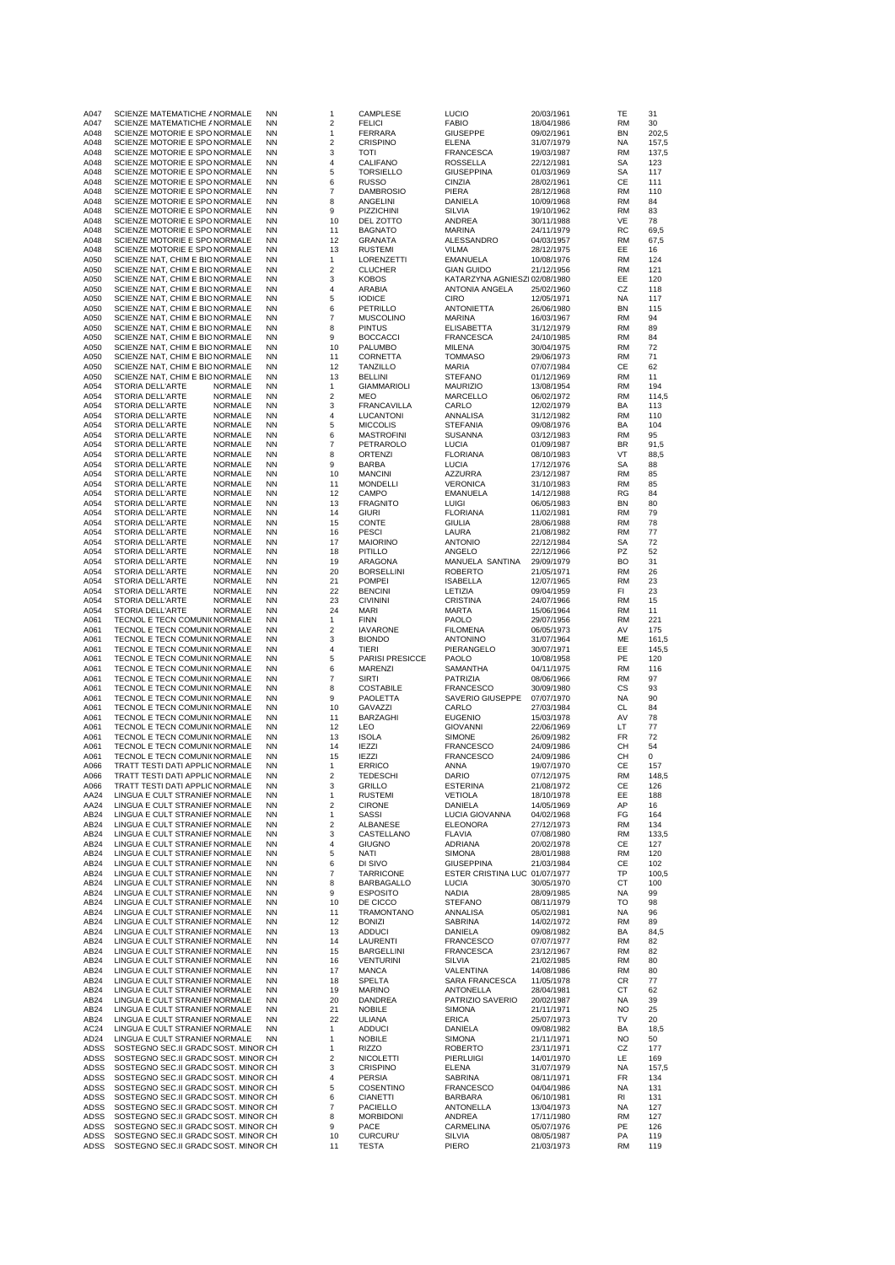| A047<br>A047 | SCIENZE MATEMATICHE / NORMALE<br>SCIENZE MATEMATICHE / NORMALE               | ΝN<br><b>NN</b>        | 1<br>$\sqrt{2}$                | CAMPLESE<br><b>FELICI</b>             | <b>LUCIO</b><br><b>FABIO</b>                       | 20/03/1961<br>18/04/1986 | TE<br>RM               | 31<br>30       |
|--------------|------------------------------------------------------------------------------|------------------------|--------------------------------|---------------------------------------|----------------------------------------------------|--------------------------|------------------------|----------------|
| A048<br>A048 | SCIENZE MOTORIE E SPO NORMALE<br>SCIENZE MOTORIE E SPO NORMALE               | <b>NN</b><br><b>NN</b> | $\mathbf{1}$<br>$\overline{2}$ | <b>FERRARA</b><br>CRISPINO            | <b>GIUSEPPE</b><br>ELENA                           | 09/02/1961               | <b>BN</b><br><b>NA</b> | 202,5<br>157,5 |
| A048         | SCIENZE MOTORIE E SPO NORMALE                                                | <b>NN</b>              | 3                              | TOTI                                  | <b>FRANCESCA</b>                                   | 31/07/1979<br>19/03/1987 | RM                     | 137,5          |
| A048         | SCIENZE MOTORIE E SPO NORMALE                                                | <b>NN</b><br><b>NN</b> | $\overline{4}$<br>$\sqrt{5}$   | CALIFANO                              | ROSSELLA                                           | 22/12/1981               | SA                     | 123            |
| A048<br>A048 | SCIENZE MOTORIE E SPO NORMALE<br>SCIENZE MOTORIE E SPO NORMALE               | <b>NN</b>              | 6                              | <b>TORSIELLO</b><br><b>RUSSO</b>      | <b>GIUSEPPINA</b><br>CINZIA                        | 01/03/1969<br>28/02/1961 | SA<br>CЕ               | 117<br>111     |
| A048         | SCIENZE MOTORIE E SPO NORMALE                                                | <b>NN</b>              | $\overline{7}$                 | <b>DAMBROSIO</b>                      | PIERA                                              | 28/12/1968               | <b>RM</b>              | 110            |
| A048<br>A048 | SCIENZE MOTORIE E SPO NORMALE<br>SCIENZE MOTORIE E SPO NORMALE               | <b>NN</b><br><b>NN</b> | 8<br>9                         | <b>ANGELINI</b><br>PIZZICHINI         | DANIELA<br>SILVIA                                  | 10/09/1968<br>19/10/1962 | RM<br>RM               | 84<br>83       |
| A048         | SCIENZE MOTORIE E SPO NORMALE                                                | ΝN                     | 10                             | DEL ZOTTO                             | ANDREA                                             | 30/11/1988               | VE                     | 78             |
| A048<br>A048 | SCIENZE MOTORIE E SPO NORMALE<br>SCIENZE MOTORIE E SPO NORMALE               | <b>NN</b><br><b>NN</b> | 11<br>12                       | <b>BAGNATO</b><br>GRANATA             | <b>MARINA</b><br>ALESSANDRO                        | 24/11/1979<br>04/03/1957 | RC<br>RM               | 69,5<br>67,5   |
| A048         | SCIENZE MOTORIE E SPO NORMALE                                                | <b>NN</b>              | 13                             | <b>RUSTEMI</b>                        | VILMA                                              | 28/12/1975               | EE                     | 16             |
| A050         | SCIENZE NAT, CHIM E BIC NORMALE                                              | <b>NN</b>              | $\mathbf{1}$                   | LORENZETTI                            | <b>EMANUELA</b>                                    | 10/08/1976               | <b>RM</b>              | 124            |
| A050<br>A050 | SCIENZE NAT, CHIM E BIC NORMALE<br>SCIENZE NAT, CHIM E BIC NORMALE           | <b>NN</b><br><b>NN</b> | $\overline{c}$<br>3            | <b>CLUCHER</b><br><b>KOBOS</b>        | <b>GIAN GUIDO</b><br>KATARZYNA AGNIESZI 02/08/1980 | 21/12/1956               | RM<br>EE               | 121<br>120     |
| A050         | SCIENZE NAT, CHIM E BIC NORMALE                                              | <b>NN</b>              | $\overline{4}$                 | ARABIA                                | ANTONIA ANGELA                                     | 25/02/1960               | CZ                     | 118            |
| A050<br>A050 | SCIENZE NAT, CHIM E BIC NORMALE<br>SCIENZE NAT, CHIM E BIC NORMALE           | <b>NN</b><br><b>NN</b> | $\sqrt{5}$<br>6                | <b>IODICE</b><br>PETRILLO             | <b>CIRO</b><br><b>ANTONIETTA</b>                   | 12/05/1971<br>26/06/1980 | <b>NA</b><br><b>BN</b> | 117<br>115     |
| A050         | SCIENZE NAT, CHIM E BIC NORMALE                                              | <b>NN</b>              | $\overline{7}$                 | <b>MUSCOLINO</b>                      | <b>MARINA</b>                                      | 16/03/1967               | <b>RM</b>              | 94             |
| A050<br>A050 | SCIENZE NAT, CHIM E BIC NORMALE<br>SCIENZE NAT, CHIM E BIC NORMALE           | <b>NN</b><br><b>NN</b> | 8<br>9                         | <b>PINTUS</b><br><b>BOCCACCI</b>      | ELISABETTA<br><b>FRANCESCA</b>                     | 31/12/1979<br>24/10/1985 | RM<br>RM               | 89<br>84       |
| A050         | SCIENZE NAT, CHIM E BIC NORMALE                                              | <b>NN</b>              | 10                             | PALUMBO                               | MILENA                                             | 30/04/1975               | <b>RM</b>              | 72             |
| A050         | SCIENZE NAT, CHIM E BIC NORMALE                                              | <b>NN</b>              | 11                             | CORNETTA                              | TOMMASO                                            | 29/06/1973               | RM                     | 71             |
| A050<br>A050 | SCIENZE NAT, CHIM E BIC NORMALE<br>SCIENZE NAT, CHIM E BIC NORMALE           | <b>NN</b><br><b>NN</b> | 12<br>13                       | <b>TANZILLO</b><br><b>BELLINI</b>     | MARIA<br><b>STEFANO</b>                            | 07/07/1984<br>01/12/1969 | СE<br><b>RM</b>        | 62<br>11       |
| A054         | STORIA DELL'ARTE<br>NORMALE                                                  | <b>NN</b>              | 1                              | <b>GIAMMARIOLI</b>                    | <b>MAURIZIO</b>                                    | 13/08/1954               | <b>RM</b>              | 194            |
| A054<br>A054 | STORIA DELL'ARTE<br>NORMALE<br><b>NORMALE</b><br>STORIA DELL'ARTE            | <b>NN</b><br><b>NN</b> | $\overline{2}$<br>3            | MEO<br><b>FRANCAVILLA</b>             | <b>MARCELLO</b><br>CARLO                           | 06/02/1972<br>12/02/1979 | <b>RM</b><br>BA        | 114,5<br>113   |
| A054         | NORMALE<br>STORIA DELL'ARTE                                                  | <b>NN</b>              | $\overline{4}$                 | LUCANTONI                             | ANNALISA                                           | 31/12/1982               | <b>RM</b>              | 110            |
| A054<br>A054 | STORIA DELL'ARTE<br>NORMALE<br><b>NORMALE</b><br>STORIA DELL'ARTE            | <b>NN</b><br><b>NN</b> | 5<br>6                         | <b>MICCOLIS</b><br><b>MASTROFINI</b>  | <b>STEFANIA</b><br><b>SUSANNA</b>                  | 09/08/1976<br>03/12/1983 | BA<br><b>RM</b>        | 104<br>95      |
| A054         | STORIA DELL'ARTE<br>NORMALE                                                  | <b>NN</b>              | $\overline{7}$                 | PETRAROLO                             | LUCIA                                              | 01/09/1987               | BR                     | 91,5           |
| A054         | STORIA DELL'ARTE<br>NORMALE                                                  | <b>NN</b>              | 8                              | <b>ORTENZI</b>                        | <b>FLORIANA</b>                                    | 08/10/1983               | VT                     | 88,5           |
| A054<br>A054 | <b>NORMALE</b><br>STORIA DELL'ARTE<br>NORMALE<br>STORIA DELL'ARTE            | <b>NN</b><br><b>NN</b> | 9<br>10                        | <b>BARBA</b><br><b>MANCINI</b>        | <b>LUCIA</b><br>AZZURRA                            | 17/12/1976<br>23/12/1987 | SА<br>RM               | 88<br>85       |
| A054         | STORIA DELL'ARTE<br>NORMALE                                                  | <b>NN</b>              | 11                             | <b>MONDELLI</b>                       | <b>VERONICA</b>                                    | 31/10/1983               | RM                     | 85             |
| A054<br>A054 | STORIA DELL'ARTE<br>NORMALE<br>NORMALE<br>STORIA DELL'ARTE                   | <b>NN</b><br><b>NN</b> | 12<br>13                       | CAMPO<br><b>FRAGNITO</b>              | <b>EMANUELA</b><br><b>LUIGI</b>                    | 14/12/1988<br>06/05/1983 | <b>RG</b><br>BN        | 84<br>80       |
| A054         | STORIA DELL'ARTE<br>NORMALE                                                  | <b>NN</b>              | 14                             | <b>GIURI</b>                          | <b>FLORIANA</b>                                    | 11/02/1981               | RM                     | 79             |
| A054<br>A054 | STORIA DELL'ARTE<br><b>NORMALE</b><br>STORIA DELL'ARTE<br>NORMALE            | <b>NN</b><br><b>NN</b> | 15<br>16                       | CONTE<br><b>PESCI</b>                 | <b>GIULIA</b><br>LAURA                             | 28/06/1988               | RM<br><b>RM</b>        | 78<br>77       |
| A054         | STORIA DELL'ARTE<br>NORMALE                                                  | <b>NN</b>              | 17                             | <b>MAIORINO</b>                       | <b>ANTONIO</b>                                     | 21/08/1982<br>22/12/1984 | SА                     | 72             |
| A054<br>A054 | STORIA DELL'ARTE<br>NORMALE<br><b>NORMALE</b>                                | <b>NN</b><br><b>NN</b> | 18<br>19                       | PITILLO<br>ARAGONA                    | ANGELO<br>MANUELA SANTINA                          | 22/12/1966               | PZ<br>BO               | 52<br>31       |
| A054         | STORIA DELL'ARTE<br>STORIA DELL'ARTE<br>NORMALE                              | <b>NN</b>              | 20                             | <b>BORSELLINI</b>                     | <b>ROBERTO</b>                                     | 29/09/1979<br>21/05/1971 | RM                     | 26             |
| A054         | STORIA DELL'ARTE<br>NORMALE                                                  | <b>NN</b>              | 21                             | <b>POMPEI</b>                         | <b>ISABELLA</b>                                    | 12/07/1965               | <b>RM</b>              | 23             |
| A054<br>A054 | STORIA DELL'ARTE<br>NORMALE<br>STORIA DELL'ARTE<br>NORMALE                   | <b>NN</b><br><b>NN</b> | 22<br>23                       | <b>BENCINI</b><br><b>CIVININI</b>     | LETIZIA<br>CRISTINA                                | 09/04/1959<br>24/07/1966 | FI.<br>RM              | 23<br>15       |
| A054         | STORIA DELL'ARTE<br>NORMALE                                                  | <b>NN</b>              | 24                             | <b>MARI</b>                           | MARTA                                              | 15/06/1964               | <b>RM</b>              | 11             |
| A061<br>A061 | TECNOL E TECN COMUNI( NORMALE<br>TECNOL E TECN COMUNI( NORMALE               | <b>NN</b><br><b>NN</b> | $\mathbf{1}$<br>$\overline{2}$ | <b>FINN</b><br><b>IAVARONE</b>        | PAOLO<br><b>FILOMENA</b>                           | 29/07/1956<br>06/05/1973 | <b>RM</b><br>AV        | 221<br>175     |
| A061         | TECNOL E TECN COMUNI(NORMALE                                                 | <b>NN</b>              | 3                              | <b>BIONDO</b>                         | <b>ANTONINO</b>                                    | 31/07/1964               | ME                     | 161,5          |
| A061<br>A061 | TECNOL E TECN COMUNI( NORMALE<br>TECNOL E TECN COMUNI( NORMALE               | <b>NN</b><br><b>NN</b> | $\overline{4}$<br>5            | TIERI<br><b>PARISI PRESICCE</b>       | PIERANGELO                                         | 30/07/1971               | EE<br>PE               | 145,5<br>120   |
| A061         | TECNOL E TECN COMUNI( NORMALE                                                | <b>NN</b>              | 6                              | MARENZI                               | PAOLO<br>SAMANTHA                                  | 10/08/1958<br>04/11/1975 | <b>RM</b>              | 116            |
| A061         | TECNOL E TECN COMUNI( NORMALE                                                | <b>NN</b>              | $\overline{7}$                 | <b>SIRTI</b>                          | PATRIZIA                                           | 08/06/1966               | <b>RM</b>              | 97             |
| A061<br>A061 | TECNOL E TECN COMUNI( NORMALE<br>TECNOL E TECN COMUNI( NORMALE               | <b>NN</b><br><b>NN</b> | 8<br>9                         | COSTABILE<br>PAOLETTA                 | <b>FRANCESCO</b><br>SAVERIO GIUSEPPE               | 30/09/1980<br>07/07/1970 | СS<br>NA               | 93<br>90       |
| A061         | TECNOL E TECN COMUNI( NORMALE                                                | <b>NN</b>              | 10                             | GAVAZZI                               | CARLO                                              | 27/03/1984               | CL                     | 84             |
| A061<br>A061 | TECNOL E TECN COMUNI( NORMALE<br>TECNOL E TECN COMUNI( NORMALE               | <b>NN</b><br><b>NN</b> | 11<br>12                       | BARZAGHI<br><b>LEO</b>                | <b>EUGENIO</b><br><b>GIOVANNI</b>                  | 15/03/1978<br>22/06/1969 | AV<br>LT               | 78<br>77       |
| A061         | TECNOL E TECN COMUNI( NORMALE                                                | <b>NN</b>              | 13                             | <b>ISOLA</b>                          | <b>SIMONE</b>                                      | 26/09/1982               | FR                     | 72             |
| A061<br>A061 | TECNOL E TECN COMUNI( NORMALE<br>TECNOL E TECN COMUNI( NORMALE               | <b>NN</b><br><b>NN</b> | 14<br>15                       | <b>IEZZI</b><br><b>IEZZI</b>          | <b>FRANCESCO</b><br><b>FRANCESCO</b>               | 24/09/1986<br>24/09/1986 | CН<br>CН               | 54<br>0        |
| A066         | TRATT TESTI DATI APPLIC NORMALE                                              | <b>NN</b>              | $\mathbf{1}$                   | <b>ERRICO</b>                         | ANNA                                               | 19/07/1970               | СE                     | 157            |
| A066<br>A066 | TRATT TESTI DATI APPLIC NORMALE<br>TRATT TESTI DATI APPLIC NORMALE           | <b>NN</b><br>ΝN        | $\overline{2}$                 | <b>TEDESCHI</b><br>GRILLO             | DARIO<br><b>ESTERINA</b>                           | 07/12/1975<br>21/08/1972 | <b>RM</b><br>СE        | 148,5<br>126   |
| AA24         | LINGUA E CULT STRANIEF NORMALE                                               | <b>NN</b>              | 3<br>1                         | <b>RUSTEMI</b>                        | <b>VETIOLA</b>                                     | 18/10/1978               | EE                     | 188            |
| AA24         | LINGUA E CULT STRANIEF NORMALE                                               | <b>NN</b>              | $\sqrt{2}$                     | <b>CIRONE</b>                         | DANIELA                                            | 14/05/1969               | AP                     | 16             |
| AB24<br>AB24 | LINGUA E CULT STRANIEF NORMALE<br>LINGUA E CULT STRANIEF NORMALE             | <b>NN</b><br><b>NN</b> | 1<br>$\overline{2}$            | <b>SASSI</b><br>ALBANESE              | LUCIA GIOVANNA<br><b>ELEONORA</b>                  | 04/02/1968<br>27/12/1973 | FG<br>RM               | 164<br>134     |
| AB24         | LINGUA E CULT STRANIEF NORMALE                                               | <b>NN</b>              | 3                              | CASTELLANO                            | <b>FLAVIA</b>                                      | 07/08/1980               | <b>RM</b>              | 133,5          |
| AB24<br>AB24 | LINGUA E CULT STRANIEF NORMALE<br>LINGUA E CULT STRANIEF NORMALE             | <b>NN</b><br><b>NN</b> | 4<br>5                         | <b>GIUGNO</b><br>NATI                 | ADRIANA<br><b>SIMONA</b>                           | 20/02/1978<br>28/01/1988 | CЕ<br><b>RM</b>        | 127<br>120     |
| AB24         | LINGUA E CULT STRANIEF NORMALE                                               | <b>NN</b>              | 6                              | DI SIVO                               | <b>GIUSEPPINA</b>                                  | 21/03/1984               | СE                     | 102            |
| AB24<br>AB24 | LINGUA E CULT STRANIEF NORMALE<br>LINGUA E CULT STRANIEF NORMALE             | <b>NN</b><br><b>NN</b> | $\overline{7}$<br>8            | <b>TARRICONE</b><br><b>BARBAGALLO</b> | ESTER CRISTINA LUC 01/07/1977<br>LUCIA             | 30/05/1970               | TP<br>СT               | 100,5<br>100   |
| AB24         | LINGUA E CULT STRANIEF NORMALE                                               | <b>NN</b>              | 9                              | <b>ESPOSITO</b>                       | NADIA                                              | 28/09/1985               | <b>NA</b>              | 99             |
| AB24         | LINGUA E CULT STRANIEF NORMALE                                               | <b>NN</b>              | 10                             | DE CICCO                              | <b>STEFANO</b>                                     | 08/11/1979               | TO                     | 98             |
| AB24<br>AB24 | LINGUA E CULT STRANIEF NORMALE<br>LINGUA E CULT STRANIEF NORMALE             | <b>NN</b><br><b>NN</b> | 11<br>12                       | TRAMONTANO<br><b>BONIZI</b>           | ANNALISA<br>SABRINA                                | 05/02/1981<br>14/02/1972 | <b>NA</b><br><b>RM</b> | 96<br>89       |
| AB24         | LINGUA E CULT STRANIEF NORMALE                                               | <b>NN</b>              | 13                             | <b>ADDUCI</b>                         | DANIELA                                            | 09/08/1982               | BA                     | 84,5           |
| AB24<br>AB24 | LINGUA E CULT STRANIEF NORMALE<br>LINGUA E CULT STRANIEF NORMALE             | <b>NN</b><br><b>NN</b> | 14<br>15                       | LAURENTI<br><b>BARGELLINI</b>         | <b>FRANCESCO</b><br><b>FRANCESCA</b>               | 07/07/1977<br>23/12/1967 | <b>RM</b><br><b>RM</b> | 82<br>82       |
| AB24         | LINGUA E CULT STRANIEF NORMALE                                               | <b>NN</b>              | 16                             | <b>VENTURINI</b>                      | SILVIA                                             | 21/02/1985               | RM                     | 80             |
| AB24<br>AB24 | LINGUA E CULT STRANIEF NORMALE<br>LINGUA E CULT STRANIEF NORMALE             | <b>NN</b><br><b>NN</b> | 17<br>18                       | <b>MANCA</b><br>SPELTA                | VALENTINA<br>SARA FRANCESCA                        | 14/08/1986<br>11/05/1978 | <b>RM</b><br>CR        | 80<br>77       |
| AB24         | LINGUA E CULT STRANIEF NORMALE                                               | <b>NN</b>              | 19                             | <b>MARINO</b>                         | ANTONELLA                                          | 28/04/1981               | СT                     | 62             |
| AB24<br>AB24 | LINGUA E CULT STRANIEF NORMALE<br>LINGUA E CULT STRANIEF NORMALE             | <b>NN</b><br><b>NN</b> | 20<br>21                       | DANDREA<br><b>NOBILE</b>              | PATRIZIO SAVERIO<br><b>SIMONA</b>                  | 20/02/1987<br>21/11/1971 | NA<br><b>NO</b>        | 39<br>25       |
| AB24         | LINGUA E CULT STRANIEF NORMALE                                               | <b>NN</b>              | 22                             | ULIANA                                | <b>ERICA</b>                                       | 25/07/1973               | TV                     | 20             |
| AC24         | LINGUA E CULT STRANIEF NORMALE                                               | <b>NN</b>              | 1                              | <b>ADDUCI</b>                         | DANIELA                                            | 09/08/1982               | BA                     | 18,5           |
| AD24         | LINGUA E CULT STRANIEF NORMALE<br>ADSS SOSTEGNO SEC.II GRADC SOST. MINOR CH  | <b>NN</b>              | $\mathbf{1}$<br>1              | <b>NOBILE</b><br>RIZZO                | <b>SIMONA</b><br><b>ROBERTO</b>                    | 21/11/1971<br>23/11/1971 | <b>NO</b><br>CZ        | 50<br>177      |
| ADSS         | SOSTEGNO SEC.II GRADC SOST. MINOR CH                                         |                        | $\overline{2}$                 | <b>NICOLETTI</b>                      | PIERLUIGI                                          | 14/01/1970               | LE                     | 169            |
| ADSS<br>ADSS | SOSTEGNO SEC.II GRADC SOST. MINOR CH<br>SOSTEGNO SEC.II GRADC SOST. MINOR CH |                        | 3<br>$\overline{4}$            | <b>CRISPINO</b><br>PERSIA             | ELENA<br>SABRINA                                   | 31/07/1979<br>08/11/1971 | NA<br>FR               | 157,5<br>134   |
| ADSS         | SOSTEGNO SEC.II GRADC SOST. MINOR CH                                         |                        | 5                              | COSENTINO                             | <b>FRANCESCO</b>                                   | 04/04/1986               | NA                     | 131            |
| ADSS<br>ADSS | SOSTEGNO SEC.II GRADC SOST. MINOR CH<br>SOSTEGNO SEC.II GRADC SOST. MINOR CH |                        | 6<br>$\overline{7}$            | <b>CIANETTI</b><br>PACIELLO           | <b>BARBARA</b><br>ANTONELLA                        | 06/10/1981<br>13/04/1973 | RI<br>NA               | 131<br>127     |
| ADSS         | SOSTEGNO SEC.II GRADC SOST. MINOR CH                                         |                        | 8                              | <b>MORBIDONI</b>                      | ANDREA                                             | 17/11/1980               | RM                     | 127            |
| ADSS<br>ADSS | SOSTEGNO SEC.II GRADC SOST. MINOR CH<br>SOSTEGNO SEC.II GRADC SOST. MINOR CH |                        | 9<br>10                        | PACE<br><b>CURCURU</b>                | CARMELINA<br>SILVIA                                | 05/07/1976               | PE<br>PA               | 126<br>119     |
| ADSS         | SOSTEGNO SEC.II GRADC SOST. MINOR CH                                         |                        | 11                             | TESTA                                 | PIERO                                              | 08/05/1987<br>21/03/1973 | <b>RM</b>              | 119            |
|              |                                                                              |                        |                                |                                       |                                                    |                          |                        |                |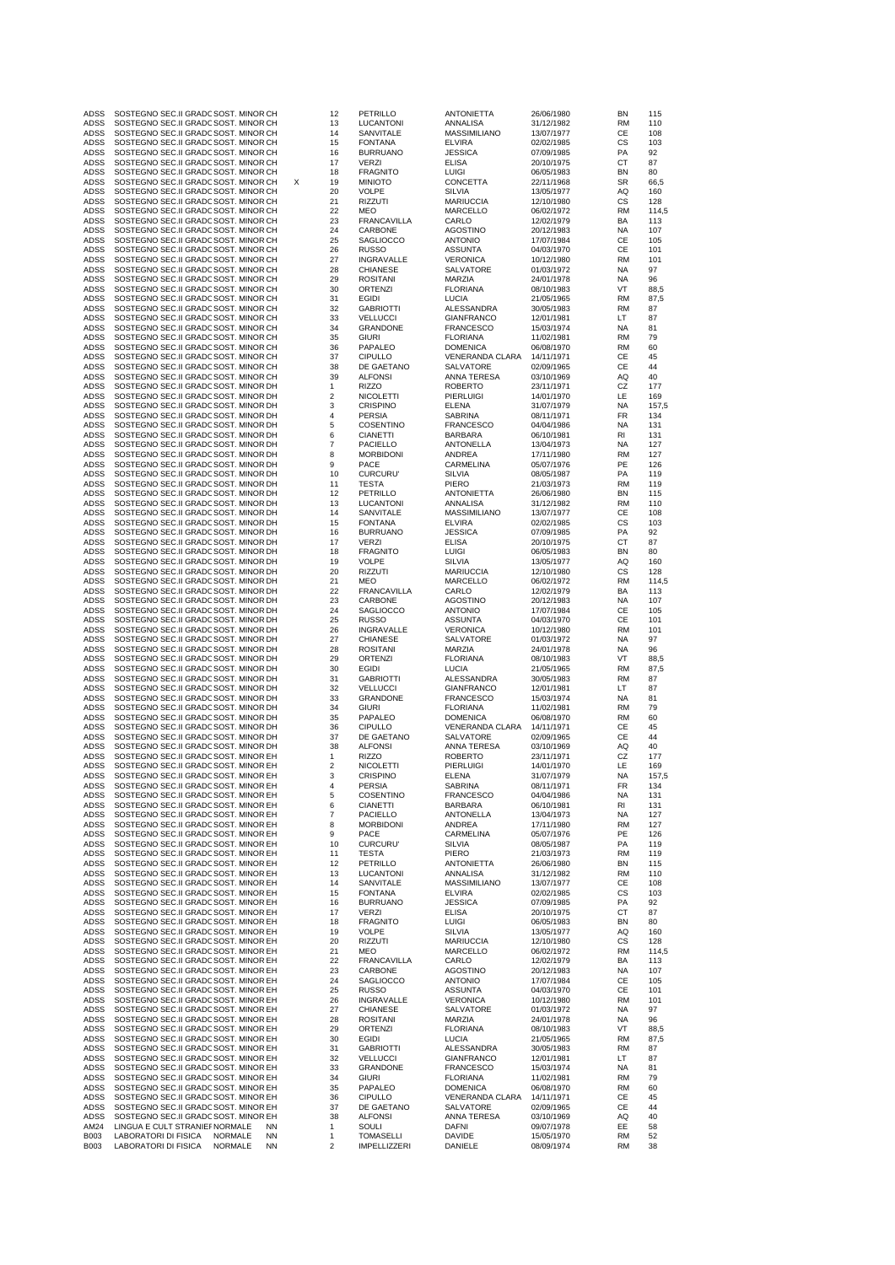| ADSS                | SOSTEGNO SEC.II GRADC SOST. MINOR CH                                                         | 12                           | PETRILLO                           | <b>ANTONIETTA</b>                     | 26/06/1980               | ΒN              | 115          |
|---------------------|----------------------------------------------------------------------------------------------|------------------------------|------------------------------------|---------------------------------------|--------------------------|-----------------|--------------|
| ADSS                | SOSTEGNO SEC.II GRADC SOST. MINOR CH<br>SOSTEGNO SEC.II GRADC SOST. MINOR CH                 | 13<br>14                     | LUCANTONI<br>SANVITALE             | ANNALISA<br>MASSIMILIANO              | 31/12/1982<br>13/07/1977 | RM<br>СE        | 110<br>108   |
| ADSS                | SOSTEGNO SEC.II GRADC SOST. MINOR CH                                                         | 15                           | <b>FONTANA</b>                     | ELVIRA                                | 02/02/1985               | СS              | 103          |
| ADSS                | SOSTEGNO SEC.II GRADC SOST. MINOR CH                                                         | 16                           | <b>BURRUANO</b>                    | <b>JESSICA</b>                        | 07/09/1985               | PA              | 92           |
| <b>ADSS</b>         | SOSTEGNO SEC.II GRADC SOST. MINOR CH                                                         | 17                           | <b>VERZI</b>                       | <b>ELISA</b>                          | 20/10/1975               | СT              | 87           |
| ADSS                | SOSTEGNO SEC.II GRADC SOST. MINOR CH                                                         | 18                           | <b>FRAGNITO</b>                    | <b>LUIGI</b>                          | 06/05/1983               | ΒN              | 80           |
| ADSS<br>ADSS        | SOSTEGNO SEC.II GRADC SOST. MINOR CH<br>SOSTEGNO SEC.II GRADC SOST. MINOR CH                 | х<br>19<br>20                | <b>MINIOTO</b><br><b>VOLPE</b>     | CONCETTA<br>SILVIA                    | 22/11/1968<br>13/05/1977 | SR<br>AQ        | 66,5<br>160  |
| ADSS                | SOSTEGNO SEC.II GRADC SOST. MINOR CH                                                         | 21                           | RIZZUTI                            | <b>MARIUCCIA</b>                      | 12/10/1980               | СS              | 128          |
| <b>ADSS</b>         | SOSTEGNO SEC.II GRADC SOST. MINOR CH                                                         | 22                           | MEO                                | MARCELLO                              | 06/02/1972               | RM              | 114,5        |
| ADSS                | SOSTEGNO SEC.II GRADC SOST. MINOR CH                                                         | 23                           | <b>FRANCAVILLA</b>                 | CARLO                                 | 12/02/1979               | BA              | 113          |
| ADSS                | SOSTEGNO SEC.II GRADC SOST. MINOR CH                                                         | 24                           | CARBONE                            | <b>AGOSTINO</b>                       | 20/12/1983               | NA              | 107          |
| ADSS<br>ADSS        | SOSTEGNO SEC.II GRADC SOST. MINOR CH<br>SOSTEGNO SEC.II GRADC SOST. MINOR CH                 | 25<br>26                     | SAGLIOCCO<br><b>RUSSO</b>          | <b>ANTONIO</b><br><b>ASSUNTA</b>      | 17/07/1984<br>04/03/1970 | CЕ<br>СE        | 105<br>101   |
| ADSS                | SOSTEGNO SEC.II GRADC SOST. MINOR CH                                                         | 27                           | INGRAVALLE                         | <b>VERONICA</b>                       | 10/12/1980               | <b>RM</b>       | 101          |
| ADSS                | SOSTEGNO SEC.II GRADC SOST. MINOR CH                                                         | 28                           | <b>CHIANESE</b>                    | SALVATORE                             | 01/03/1972               | NA              | 97           |
| ADSS                | SOSTEGNO SEC.II GRADC SOST, MINOR CH                                                         | 29                           | <b>ROSITANI</b>                    | MARZIA                                | 24/01/1978               | NA              | 96           |
| ADSS                | SOSTEGNO SEC.II GRADC SOST. MINOR CH                                                         | 30                           | <b>ORTENZI</b>                     | <b>FLORIANA</b>                       | 08/10/1983               | VT              | 88,5         |
| ADSS<br>ADSS        | SOSTEGNO SEC.II GRADC SOST. MINOR CH<br>SOSTEGNO SEC.II GRADC SOST, MINOR CH                 | 31<br>32                     | EGIDI<br><b>GABRIOTTI</b>          | LUCIA<br>ALESSANDRA                   | 21/05/1965<br>30/05/1983 | <b>RM</b><br>RM | 87,5<br>87   |
| ADSS                | SOSTEGNO SEC.II GRADC SOST. MINOR CH                                                         | 33                           | <b>VELLUCCI</b>                    | <b>GIANFRANCO</b>                     | 12/01/1981               | LT              | 87           |
| ADSS                | SOSTEGNO SEC.II GRADC SOST. MINOR CH                                                         | 34                           | <b>GRANDONE</b>                    | <b>FRANCESCO</b>                      | 15/03/1974               | ΝA              | 81           |
| ADSS                | SOSTEGNO SEC.II GRADC SOST. MINOR CH                                                         | 35                           | <b>GIURI</b>                       | <b>FLORIANA</b>                       | 11/02/1981               | <b>RM</b>       | 79           |
| ADSS<br>ADSS        | SOSTEGNO SEC.II GRADC SOST. MINOR CH<br>SOSTEGNO SEC.II GRADC SOST. MINOR CH                 | 36<br>37                     | PAPALEO<br><b>CIPULLO</b>          | <b>DOMENICA</b><br>VENERANDA CLARA    | 06/08/1970<br>14/11/1971 | <b>RM</b><br>CЕ | 60<br>45     |
| ADSS                | SOSTEGNO SEC.II GRADC SOST. MINOR CH                                                         | 38                           | DE GAETANO                         | SALVATORE                             | 02/09/1965               | СE              | 44           |
| ADSS                | SOSTEGNO SEC.II GRADC SOST. MINOR CH                                                         | 39                           | <b>ALFONSI</b>                     | ANNA TERESA                           | 03/10/1969               | AQ              | 40           |
| ADSS                | SOSTEGNO SEC.II GRADC SOST. MINOR DH                                                         | 1                            | <b>RIZZO</b>                       | <b>ROBERTO</b>                        | 23/11/1971               | CZ              | 177          |
| ADSS                | SOSTEGNO SEC.II GRADC SOST. MINOR DH                                                         | $\overline{\mathbf{c}}$      | <b>NICOLETTI</b>                   | PIERLUIGI                             | 14/01/1970               | LE              | 169          |
| ADSS<br>ADSS        | SOSTEGNO SEC.II GRADC SOST. MINOR DH<br>SOSTEGNO SEC.II GRADC SOST. MINOR DH                 | 3<br>4                       | <b>CRISPINO</b><br><b>PERSIA</b>   | <b>ELENA</b><br>SABRINA               | 31/07/1979<br>08/11/1971 | <b>NA</b><br>FR | 157,5<br>134 |
| <b>ADSS</b>         | SOSTEGNO SEC.II GRADC SOST. MINOR DH                                                         | 5                            | COSENTINO                          | <b>FRANCESCO</b>                      | 04/04/1986               | NA              | 131          |
| <b>ADSS</b>         | SOSTEGNO SEC.II GRADC SOST. MINOR DH                                                         | 6                            | <b>CIANETTI</b>                    | <b>BARBARA</b>                        | 06/10/1981               | RI              | 131          |
| ADSS                | SOSTEGNO SEC.II GRADC SOST. MINOR DH                                                         | $\overline{7}$               | PACIELLO                           | ANTONELLA                             | 13/04/1973               | ΝA              | 127          |
| <b>ADSS</b>         | SOSTEGNO SEC.II GRADC SOST. MINOR DH                                                         | 8                            | <b>MORBIDONI</b>                   | ANDREA                                | 17/11/1980               | RM              | 127          |
| ADSS<br>ADSS        | SOSTEGNO SEC.II GRADC SOST. MINOR DH<br>SOSTEGNO SEC.II GRADC SOST. MINOR DH                 | 9<br>10                      | PACE<br><b>CURCURU</b>             | CARMELINA<br>SILVIA                   | 05/07/1976<br>08/05/1987 | PE<br>PA        | 126<br>119   |
| <b>ADSS</b>         | SOSTEGNO SEC.II GRADC SOST. MINOR DH                                                         | 11                           | <b>TESTA</b>                       | PIERO                                 | 21/03/1973               | <b>RM</b>       | 119          |
| ADSS                | SOSTEGNO SEC.II GRADC SOST. MINOR DH                                                         | 12                           | PETRILLO                           | <b>ANTONIETTA</b>                     | 26/06/1980               | ΒN              | 115          |
| ADSS                | SOSTEGNO SEC.II GRADC SOST. MINOR DH                                                         | 13                           | LUCANTONI                          | ANNALISA                              | 31/12/1982               | RM              | 110          |
| <b>ADSS</b><br>ADSS | SOSTEGNO SEC.II GRADC SOST. MINOR DH<br>SOSTEGNO SEC.II GRADC SOST. MINOR DH                 | 14<br>15                     | SANVITALE<br><b>FONTANA</b>        | <b>MASSIMILIANO</b><br><b>ELVIRA</b>  | 13/07/1977<br>02/02/1985 | CЕ<br>CS        | 108<br>103   |
| ADSS                | SOSTEGNO SEC.II GRADC SOST. MINOR DH                                                         | 16                           | <b>BURRUANO</b>                    | <b>JESSICA</b>                        | 07/09/1985               | PA              | 92           |
| <b>ADSS</b>         | SOSTEGNO SEC.II GRADC SOST. MINOR DH                                                         | 17                           | VERZI                              | <b>ELISA</b>                          | 20/10/1975               | СT              | 87           |
| ADSS                | SOSTEGNO SEC.II GRADC SOST. MINOR DH                                                         | 18                           | <b>FRAGNITO</b>                    | <b>LUIGI</b>                          | 06/05/1983               | ΒN              | 80           |
| ADSS                | SOSTEGNO SEC.II GRADC SOST. MINOR DH                                                         | 19                           | <b>VOLPE</b>                       | SILVIA                                | 13/05/1977               | AQ              | 160          |
| ADSS<br>ADSS        | SOSTEGNO SEC.II GRADC SOST. MINOR DH<br>SOSTEGNO SEC.II GRADC SOST. MINOR DH                 | 20<br>21                     | <b>RIZZUTI</b><br>MEO              | <b>MARIUCCIA</b><br>MARCELLO          | 12/10/1980<br>06/02/1972 | СS<br><b>RM</b> | 128<br>114,5 |
| ADSS                | SOSTEGNO SEC.II GRADC SOST. MINOR DH                                                         | 22                           | <b>FRANCAVILLA</b>                 | CARLO                                 | 12/02/1979               | BA              | 113          |
| ADSS                | SOSTEGNO SEC.II GRADC SOST. MINOR DH                                                         | 23                           | CARBONE                            | AGOSTINO                              | 20/12/1983               | NA              | 107          |
| ADSS                | SOSTEGNO SEC.II GRADC SOST. MINOR DH                                                         | 24                           | <b>SAGLIOCCO</b>                   | <b>ANTONIO</b>                        | 17/07/1984               | CЕ              | 105          |
| ADSS                | SOSTEGNO SEC.II GRADC SOST. MINOR DH                                                         | 25                           | <b>RUSSO</b>                       | <b>ASSUNTA</b>                        | 04/03/1970               | СE              | 101          |
| ADSS<br>ADSS        | SOSTEGNO SEC.II GRADC SOST. MINOR DH<br>SOSTEGNO SEC.II GRADC SOST. MINOR DH                 | 26<br>27                     | INGRAVALLE<br><b>CHIANESE</b>      | <b>VERONICA</b><br>SALVATORE          | 10/12/1980<br>01/03/1972 | <b>RM</b><br>NA | 101<br>97    |
| ADSS                | SOSTEGNO SEC.II GRADC SOST. MINOR DH                                                         | 28                           | <b>ROSITANI</b>                    | MARZIA                                | 24/01/1978               | NA              | 96           |
| ADSS                | SOSTEGNO SEC.II GRADC SOST. MINOR DH                                                         | 29                           | ORTENZI                            | <b>FLORIANA</b>                       | 08/10/1983               | VT              | 88,5         |
| ADSS                | SOSTEGNO SEC.II GRADC SOST. MINOR DH                                                         | 30                           | EGIDI                              | LUCIA                                 | 21/05/1965               | RM              | 87,5         |
| ADSS                | SOSTEGNO SEC.II GRADC SOST. MINOR DH                                                         | 31                           | <b>GABRIOTTI</b>                   | ALESSANDRA<br><b>GIANFRANCO</b>       | 30/05/1983               | <b>RM</b>       | 87           |
|                     |                                                                                              |                              |                                    |                                       |                          |                 |              |
| ADSS                | SOSTEGNO SEC.II GRADC SOST. MINOR DH                                                         | 32                           | <b>VELLUCCI</b>                    |                                       | 12/01/1981               | LT              | 87           |
| ADSS<br>ADSS        | SOSTEGNO SEC.II GRADC SOST. MINOR DH<br>SOSTEGNO SEC.II GRADC SOST. MINOR DH                 | 33<br>34                     | <b>GRANDONE</b><br><b>GIURI</b>    | <b>FRANCESCO</b><br><b>FLORIANA</b>   | 15/03/1974<br>11/02/1981 | NA<br><b>RM</b> | 81<br>79     |
| ADSS                | SOSTEGNO SEC.II GRADC SOST. MINOR DH                                                         | 35                           | PAPALEO                            | <b>DOMENICA</b>                       | 06/08/1970               | <b>RM</b>       | 60           |
| <b>ADSS</b>         | SOSTEGNO SEC.II GRADC SOST. MINOR DH                                                         | 36                           | <b>CIPULLO</b>                     | VENERANDA CLARA                       | 14/11/1971               | CЕ              | 45           |
| ADSS                | SOSTEGNO SEC.II GRADC SOST. MINOR DH                                                         | 37                           | DE GAETANO                         | SALVATORE                             | 02/09/1965               | СE              | 44           |
| ADSS                | SOSTEGNO SEC.II GRADC SOST. MINOR DH                                                         | 38                           | <b>ALFONSI</b>                     | ANNA TERESA                           | 03/10/1969               | ΑQ              | 40           |
| ADSS<br><b>ADSS</b> | SOSTEGNO SEC.II GRADC SOST. MINOR EH<br>SOSTEGNO SEC.II GRADC SOST, MINOR EH                 | 1<br>$\overline{2}$          | <b>RIZZO</b><br><b>NICOLETTI</b>   | <b>ROBERTO</b><br>PIERLUIGI           | 23/11/1971<br>14/01/1970 | CZ<br>LE        | 177<br>169   |
| ADSS                | SOSTEGNO SEC.II GRADC SOST. MINOR EH                                                         | 3                            | <b>CRISPINO</b>                    | ELENA                                 | 31/07/1979               | NA              | 157,5        |
| ADSS                | SOSTEGNO SEC.II GRADC SOST. MINOR EH                                                         | 4                            | PERSIA                             | SABRINA                               | 08/11/1971               | FR              | 134          |
| ADSS                | SOSTEGNO SEC.II GRADC SOST. MINOR EH                                                         | 5                            | COSENTINO                          | <b>FRANCESCO</b>                      | 04/04/1986               | NA              | 131          |
| ADSS<br>ADSS        | SOSTEGNO SEC.II GRADC SOST. MINOR EH<br>SOSTEGNO SEC.II GRADC SOST. MINOR EH                 | 6<br>$\overline{7}$          | <b>CIANETTI</b><br>PACIELLO        | BARBARA<br>ANTONELLA                  | 06/10/1981<br>13/04/1973 | RI<br>NA        | 131<br>127   |
| ADSS                | SOSTEGNO SEC.II GRADC SOST. MINOR EH                                                         | 8                            | <b>MORBIDONI</b>                   | ANDREA                                | 17/11/1980               | <b>RM</b>       | 127          |
| ADSS                | SOSTEGNO SEC.II GRADC SOST. MINOR EH                                                         | 9                            | PACE                               | CARMELINA                             | 05/07/1976               | PE              | 126          |
| <b>ADSS</b>         | SOSTEGNO SEC.II GRADC SOST. MINOR EH                                                         | 10                           | <b>CURCURU</b>                     | SILVIA                                | 08/05/1987               | PA              | 119          |
| ADSS<br>ADSS        | SOSTEGNO SEC.II GRADC SOST. MINOR EH<br>SOSTEGNO SEC.II GRADC SOST. MINOR EH                 | 11<br>12                     | TESTA<br>PETRILLO                  | PIERO<br><b>ANTONIETTA</b>            | 21/03/1973<br>26/06/1980 | RM<br>BN        | 119<br>115   |
| ADSS                | SOSTEGNO SEC.II GRADC SOST. MINOR EH                                                         | 13                           | LUCANTONI                          | ANNALISA                              | 31/12/1982               | RM              | 110          |
| ADSS                | SOSTEGNO SEC.II GRADC SOST. MINOR EH                                                         | 14                           | SANVITALE                          | <b>MASSIMILIANO</b>                   | 13/07/1977               | СE              | 108          |
| ADSS                | SOSTEGNO SEC.II GRADC SOST. MINOR EH                                                         | 15                           | <b>FONTANA</b>                     | <b>ELVIRA</b>                         | 02/02/1985               | CS              | 103          |
| ADSS                | SOSTEGNO SEC.II GRADC SOST. MINOR EH                                                         | 16                           | <b>BURRUANO</b>                    | <b>JESSICA</b>                        | 07/09/1985               | PA              | 92           |
| ADSS<br>ADSS        | SOSTEGNO SEC.II GRADC SOST. MINOR EH<br>SOSTEGNO SEC.II GRADC SOST. MINOR EH                 | 17<br>18                     | VERZI<br><b>FRAGNITO</b>           | <b>ELISA</b><br>LUIGI                 | 20/10/1975<br>06/05/1983 | СT<br>BN        | 87<br>80     |
| ADSS                | SOSTEGNO SEC.II GRADC SOST. MINOR EH                                                         | 19                           | VOLPE                              | SILVIA                                | 13/05/1977               | ΑQ              | 160          |
| ADSS                | SOSTEGNO SEC.II GRADC SOST. MINOR EH                                                         | 20                           | <b>RIZZUTI</b>                     | <b>MARIUCCIA</b>                      | 12/10/1980               | СS              | 128          |
| ADSS                | SOSTEGNO SEC.II GRADC SOST. MINOR EH                                                         | 21                           | MEO                                | <b>MARCELLO</b>                       | 06/02/1972               | <b>RM</b>       | 114,5        |
| ADSS<br>ADSS        | SOSTEGNO SEC.II GRADC SOST. MINOR EH<br>SOSTEGNO SEC.II GRADC SOST. MINOR EH                 | 22<br>23                     | <b>FRANCAVILLA</b><br>CARBONE      | CARLO<br><b>AGOSTINO</b>              | 12/02/1979<br>20/12/1983 | BA<br>NA        | 113<br>107   |
| ADSS                | SOSTEGNO SEC.II GRADC SOST. MINOR EH                                                         | 24                           | SAGLIOCCO                          | <b>ANTONIO</b>                        | 17/07/1984               | СE              | 105          |
| ADSS                | SOSTEGNO SEC.II GRADC SOST. MINOR EH                                                         | 25                           | <b>RUSSO</b>                       | ASSUNTA                               | 04/03/1970               | СE              | 101          |
| ADSS                | SOSTEGNO SEC.II GRADC SOST. MINOR EH                                                         | 26                           | INGRAVALLE                         | <b>VERONICA</b>                       | 10/12/1980               | RM              | 101          |
| ADSS<br>ADSS        | SOSTEGNO SEC.II GRADC SOST. MINOR EH<br>SOSTEGNO SEC.II GRADC SOST. MINOR EH                 | 27<br>28                     | <b>CHIANESE</b><br><b>ROSITANI</b> | SALVATORE<br>MARZIA                   | 01/03/1972<br>24/01/1978 | NA<br>ΝA        | 97<br>96     |
| ADSS                | SOSTEGNO SEC.II GRADC SOST. MINOR EH                                                         | 29                           | ORTENZI                            | <b>FLORIANA</b>                       | 08/10/1983               | VT              | 88,5         |
| ADSS                | SOSTEGNO SEC.II GRADC SOST. MINOR EH                                                         | 30                           | EGIDI                              | LUCIA                                 | 21/05/1965               | <b>RM</b>       | 87,5         |
| ADSS                | SOSTEGNO SEC.II GRADC SOST. MINOR EH                                                         | 31                           | <b>GABRIOTTI</b>                   | ALESSANDRA                            | 30/05/1983               | RM              | 87           |
| ADSS<br>ADSS        | SOSTEGNO SEC.II GRADC SOST. MINOR EH<br>SOSTEGNO SEC.II GRADC SOST. MINOR EH                 | 32<br>33                     | <b>VELLUCCI</b><br><b>GRANDONE</b> | <b>GIANFRANCO</b><br><b>FRANCESCO</b> | 12/01/1981<br>15/03/1974 | LT<br>NA        | 87<br>81     |
| ADSS                | SOSTEGNO SEC.II GRADC SOST. MINOR EH                                                         | 34                           | <b>GIURI</b>                       | <b>FLORIANA</b>                       | 11/02/1981               | <b>RM</b>       | 79           |
| ADSS                | SOSTEGNO SEC.II GRADC SOST. MINOR EH                                                         | 35                           | PAPALEO                            | <b>DOMENICA</b>                       | 06/08/1970               | RM              | 60           |
| ADSS                | SOSTEGNO SEC.II GRADC SOST. MINOR EH                                                         | 36                           | <b>CIPULLO</b>                     | VENERANDA CLARA                       | 14/11/1971               | CЕ              | 45           |
| ADSS                | SOSTEGNO SEC.II GRADC SOST. MINOR EH                                                         | 37                           | DE GAETANO                         | SALVATORE                             | 02/09/1965               | СE              | 44           |
| ADSS<br>AM24        | SOSTEGNO SEC.II GRADC SOST. MINOR EH<br>LINGUA E CULT STRANIEF NORMALE<br><b>NN</b>          | 38<br>1                      | <b>ALFONSI</b><br>SOULI            | ANNA TERESA<br>DAFNI                  | 03/10/1969<br>09/07/1978 | ΑQ<br>EE        | 40<br>58     |
| <b>B003</b><br>B003 | <b>NN</b><br>LABORATORI DI FISICA<br>NORMALE<br>LABORATORI DI FISICA<br>NORMALE<br><b>NN</b> | 1<br>$\overline{\mathbf{c}}$ | <b>TOMASELLI</b><br>IMPELLIZZERI   | DAVIDE<br>DANIELE                     | 15/05/1970<br>08/09/1974 | <b>RM</b><br>RM | 52<br>38     |